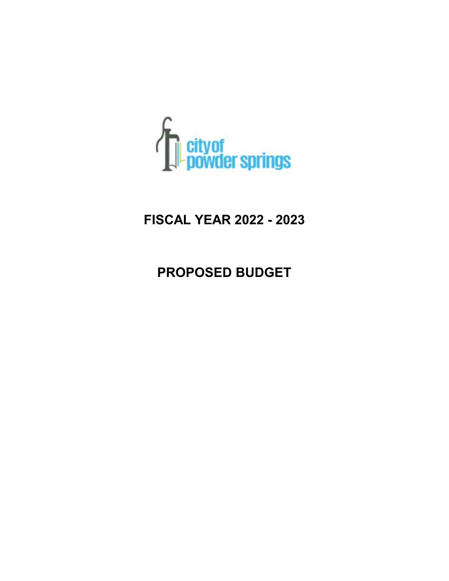

# **FISCAL YEAR 2022 - 2023**

# **PROPOSED BUDGET**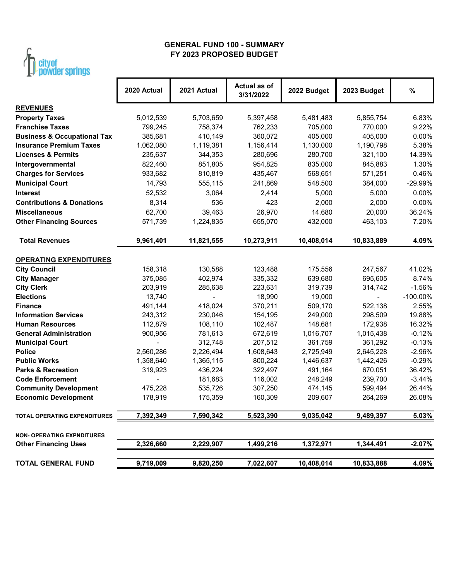

## **FY 2023 PROPOSED BUDGET GENERAL FUND 100 - SUMMARY**

| <b>MAILMAN ANIHINA</b>                 |             |             |                           |             |                          |             |
|----------------------------------------|-------------|-------------|---------------------------|-------------|--------------------------|-------------|
|                                        | 2020 Actual | 2021 Actual | Actual as of<br>3/31/2022 | 2022 Budget | 2023 Budget              | $\%$        |
| <b>REVENUES</b>                        |             |             |                           |             |                          |             |
| <b>Property Taxes</b>                  | 5,012,539   | 5,703,659   | 5,397,458                 | 5,481,483   | 5,855,754                | 6.83%       |
| <b>Franchise Taxes</b>                 | 799,245     | 758,374     | 762,233                   | 705,000     | 770,000                  | 9.22%       |
| <b>Business &amp; Occupational Tax</b> | 385,681     | 410,149     | 360,072                   | 405,000     | 405,000                  | 0.00%       |
| <b>Insurance Premium Taxes</b>         | 1,062,080   | 1,119,381   | 1,156,414                 | 1,130,000   | 1,190,798                | 5.38%       |
| <b>Licenses &amp; Permits</b>          | 235,637     | 344,353     | 280,696                   | 280,700     | 321,100                  | 14.39%      |
| Intergovernmental                      | 822,460     | 851,805     | 954,825                   | 835,000     | 845,883                  | 1.30%       |
| <b>Charges for Services</b>            | 933,682     | 810,819     | 435,467                   | 568,651     | 571,251                  | 0.46%       |
| <b>Municipal Court</b>                 | 14,793      | 555,115     | 241,869                   | 548,500     | 384,000                  | -29.99%     |
| <b>Interest</b>                        | 52,532      | 3,064       | 2,414                     | 5,000       | 5,000                    | 0.00%       |
| <b>Contributions &amp; Donations</b>   | 8,314       | 536         | 423                       | 2,000       | 2,000                    | 0.00%       |
| <b>Miscellaneous</b>                   | 62,700      | 39,463      | 26,970                    | 14,680      | 20,000                   | 36.24%      |
| <b>Other Financing Sources</b>         | 571,739     | 1,224,835   | 655,070                   | 432,000     | 463,103                  | 7.20%       |
| <b>Total Revenues</b>                  | 9,961,401   | 11,821,555  | 10,273,911                | 10,408,014  | 10,833,889               | 4.09%       |
| <b>OPERATING EXPENDITURES</b>          |             |             |                           |             |                          |             |
| <b>City Council</b>                    | 158,318     | 130,588     | 123,488                   | 175,556     | 247,567                  | 41.02%      |
| <b>City Manager</b>                    | 375,085     | 402,974     | 335,332                   | 639,680     | 695,605                  | 8.74%       |
| <b>City Clerk</b>                      | 203,919     | 285,638     | 223,631                   | 319,739     | 314,742                  | $-1.56%$    |
| <b>Elections</b>                       | 13,740      |             | 18,990                    | 19,000      | $\overline{\phantom{0}}$ | $-100.00\%$ |
| <b>Finance</b>                         | 491,144     | 418,024     | 370,211                   | 509,170     | 522,138                  | 2.55%       |
| <b>Information Services</b>            | 243,312     | 230,046     | 154,195                   | 249,000     | 298,509                  | 19.88%      |
| <b>Human Resources</b>                 | 112,879     | 108,110     | 102,487                   | 148,681     | 172,938                  | 16.32%      |
| <b>General Administration</b>          | 900,956     | 781,613     | 672,619                   | 1,016,707   | 1,015,438                | $-0.12%$    |
| <b>Municipal Court</b>                 |             | 312,748     | 207,512                   | 361,759     | 361,292                  | $-0.13%$    |
| <b>Police</b>                          | 2,560,286   | 2,226,494   | 1,608,643                 | 2,725,949   | 2,645,228                | $-2.96%$    |
| <b>Public Works</b>                    | 1,358,640   | 1,365,115   | 800,224                   | 1,446,637   | 1,442,426                | $-0.29%$    |
| <b>Parks &amp; Recreation</b>          | 319,923     | 436,224     | 322,497                   | 491,164     | 670,051                  | 36.42%      |
| <b>Code Enforcement</b>                |             | 181,683     | 116,002                   | 248,249     | 239,700                  | $-3.44%$    |
| <b>Community Development</b>           | 475,228     | 535,726     | 307,250                   | 474,145     | 599,494                  | 26.44%      |
| <b>Economic Development</b>            | 178,919     | 175,359     | 160,309                   | 209,607     | 264,269                  | 26.08%      |
| TOTAL OPERATING EXPENDITURES           | 7,392,349   | 7,590,342   | 5,523,390                 | 9,035,042   | 9,489,397                | 5.03%       |
| <b>NON- OPERATING EXPNDITURES</b>      |             |             |                           |             |                          |             |
| <b>Other Financing Uses</b>            | 2,326,660   | 2,229,907   | 1,499,216                 | 1,372,971   | 1,344,491                | $-2.07%$    |
| <b>TOTAL GENERAL FUND</b>              | 9,719,009   | 9,820,250   | 7,022,607                 | 10,408,014  | 10,833,888               | 4.09%       |
|                                        |             |             |                           |             |                          |             |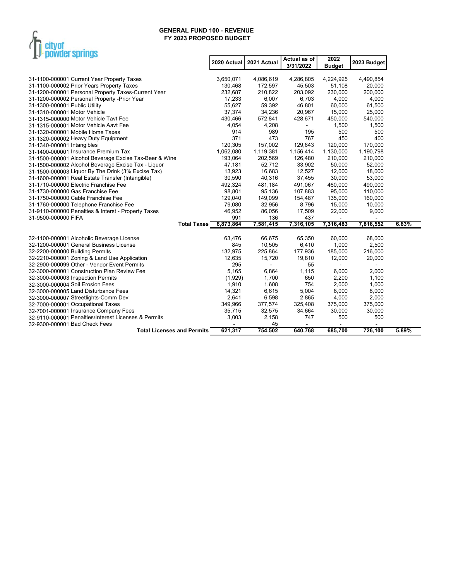

|                                                        | 2020 Actual | 2021 Actual | Actual as of<br>3/31/2022 | 2022<br><b>Budget</b> | 2023 Budget |       |
|--------------------------------------------------------|-------------|-------------|---------------------------|-----------------------|-------------|-------|
| 31-1100-000001 Current Year Property Taxes             | 3,650,071   | 4,086,619   | 4,286,805                 | 4,224,925             | 4,490,854   |       |
| 31-1100-000002 Prior Years Property Taxes              | 130,468     | 172,597     | 45,503                    | 51,108                | 20,000      |       |
| 31-1200-000001 Personal Property Taxes-Current Year    | 232,687     | 210,822     | 203,092                   | 230,000               | 200,000     |       |
| 31-1200-000002 Personal Property - Prior Year          | 17,233      | 6,007       | 6,703                     | 4,000                 | 4,000       |       |
| 31-1300-000001 Public Utility                          | 55,627      | 59,392      | 46,801                    | 60,000                | 61,500      |       |
| 31-1310-000001 Motor Vehicle                           | 37,374      | 34,236      | 20,967                    | 15,000                | 25,000      |       |
| 31-1315-000000 Motor Vehicle Tayt Fee                  | 430,466     | 572,841     | 428,671                   | 450,000               | 540,000     |       |
| 31-1315-000001 Motor Vehicle Aavt Fee                  | 4,054       | 4,208       | $\blacksquare$            | 1,500                 | 1,500       |       |
| 31-1320-000001 Mobile Home Taxes                       | 914         | 989         | 195                       | 500                   | 500         |       |
| 31-1320-000002 Heavy Duty Equipment                    | 371         | 473         | 767                       | 450                   | 400         |       |
| 31-1340-000001 Intangibles                             | 120,305     | 157,002     | 129,643                   | 120,000               | 170,000     |       |
| 31-1400-000001 Insurance Premium Tax                   | 1,062,080   | 1,119,381   | 1,156,414                 | 1,130,000             | 1,190,798   |       |
| 31-1500-000001 Alcohol Beverage Excise Tax-Beer & Wine | 193,064     | 202,569     | 126,480                   | 210,000               | 210,000     |       |
| 31-1500-000002 Alcohol Beverage Excise Tax - Liquor    | 47,181      | 52,712      | 33,902                    | 50,000                | 52,000      |       |
| 31-1500-000003 Liquor By The Drink (3% Excise Tax)     | 13,923      | 16,683      | 12,527                    | 12,000                | 18,000      |       |
| 31-1600-000001 Real Estate Transfer (Intangible)       | 30,590      | 40,316      | 37,455                    | 30,000                | 53,000      |       |
| 31-1710-000000 Electric Franchise Fee                  | 492,324     | 481,184     | 491,067                   | 460,000               | 490,000     |       |
| 31-1730-000000 Gas Franchise Fee                       | 98,801      | 95,136      | 107,883                   | 95,000                | 110,000     |       |
| 31-1750-000000 Cable Franchise Fee                     | 129,040     | 149,099     | 154,487                   | 135,000               | 160,000     |       |
| 31-1760-000000 Telephone Franchise Fee                 | 79,080      | 32,956      | 8,796                     | 15,000                | 10,000      |       |
| 31-9110-000000 Penalties & Interst - Property Taxes    | 46,952      | 86,056      | 17,509                    | 22,000                | 9,000       |       |
| 31-9500-000000 FIFA                                    | 991         | 136         | 437                       | $\mathbf{r}$          |             |       |
| <b>Total Taxes</b>                                     | 6,873,864   | 7,581,415   | 7,316,105                 | 7,316,483             | 7,816,552   | 6.83% |
| 32-1100-000001 Alcoholic Beverage License              | 63,476      | 66,675      | 65,350                    | 60,000                | 68,000      |       |
| 32-1200-000001 General Business License                | 845         | 10,505      | 6,410                     | 1,000                 | 2,500       |       |
| 32-2200-000000 Building Permits                        | 132,975     | 225,864     | 177,936                   | 185,000               | 216,000     |       |
| 32-2210-000001 Zoning & Land Use Application           | 12,635      | 15,720      | 19,810                    | 12,000                | 20,000      |       |
| 32-2900-000099 Other - Vendor Event Permits            | 295         |             | 55                        | $\blacksquare$        | L.          |       |
| 32-3000-000001 Construction Plan Review Fee            | 5,165       | 6,864       | 1,115                     | 6,000                 | 2,000       |       |
| 32-3000-000003 Inspection Permits                      | (1,929)     | 1,700       | 650                       | 2,200                 | 1,100       |       |
| 32-3000-000004 Soil Erosion Fees                       | 1,910       | 1,608       | 754                       | 2,000                 | 1,000       |       |
| 32-3000-000005 Land Disturbance Fees                   | 14,321      | 6,615       | 5,004                     | 8,000                 | 8,000       |       |
| 32-3000-000007 Streetlights-Comm Dev                   | 2,641       | 6,598       | 2,865                     | 4,000                 | 2,000       |       |
| 32-7000-000001 Occupational Taxes                      | 349,966     | 377,574     | 325,408                   | 375,000               | 375,000     |       |
| 32-7001-000001 Insurance Company Fees                  | 35,715      | 32,575      | 34,664                    | 30,000                | 30,000      |       |
| 32-9110-000001 Penalties/Interest Licenses & Permits   | 3,003       | 2,158       | 747                       | 500                   | 500         |       |
| 32-9300-000001 Bad Check Fees                          |             | 45          |                           |                       |             |       |
| <b>Total Licenses and Permits</b>                      | 621.317     | 754.502     | 640.768                   | 685.700               | 726.100     | 5.89% |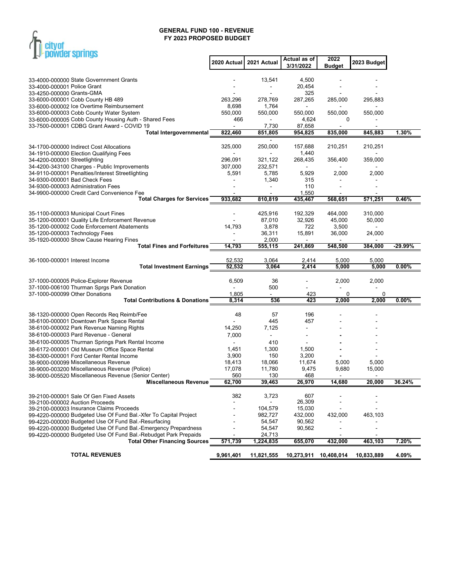

| <b>THE DOMANGE SHELLING</b>                                                                             |                |                     |                  |                       |             |           |
|---------------------------------------------------------------------------------------------------------|----------------|---------------------|------------------|-----------------------|-------------|-----------|
|                                                                                                         | 2020 Actual    | 2021 Actual         | Actual as of     | 2022                  | 2023 Budget |           |
|                                                                                                         |                |                     | 3/31/2022        | <b>Budget</b>         |             |           |
| 33-4000-000000 State Governnment Grants                                                                 |                | 13,541              | 4,500            |                       |             |           |
| 33-4000-000001 Police Grant                                                                             |                |                     | 20,454           |                       |             |           |
| 33-4250-000000 Grants-GMA                                                                               |                |                     | 325              |                       |             |           |
| 33-6000-000001 Cobb County HB 489                                                                       | 263,296        | 278,769             | 287,265          | 285,000               | 295,883     |           |
| 33-6000-000002 Ice Overtime Reimbursement                                                               | 8,698          | 1,764               | $\blacksquare$   |                       |             |           |
| 33-6000-000003 Cobb County Water System<br>33-6000-000005 Cobb County Housing Auth - Shared Fees        | 550,000<br>466 | 550,000             | 550,000<br>4,624 | 550,000<br>0          | 550,000     |           |
| 33-7500-000001 CDBG Grant Award - COVID 19                                                              |                | 7,730               | 87,658           |                       |             |           |
| <b>Total Intergovernmental</b>                                                                          | 822,460        | 851,805             | 954,825          | 835,000               | 845.883     | 1.30%     |
|                                                                                                         |                |                     |                  |                       |             |           |
| 34-1700-000000 Indirect Cost Allocations                                                                | 325,000        | 250,000             | 157,688          | 210,251               | 210,251     |           |
| 34-1910-000000 Election Qualifying Fees                                                                 | 296.091        | 321,122             | 1,440            |                       |             |           |
| 34-4200-000001 Streetlighting<br>34-4200-343100 Charges - Public Improvements                           | 307,000        | 232,571             | 268,435          | 356,400               | 359,000     |           |
| 34-9110-000001 Penalties/Interest Streetlighting                                                        | 5,591          | 5,785               | 5,929            | 2,000                 | 2,000       |           |
| 34-9300-000001 Bad Check Fees                                                                           |                | 1,340               | 315              |                       |             |           |
| 34-9300-000003 Administration Fees                                                                      |                |                     | 110              |                       |             |           |
| 34-9900-000000 Credit Card Convenience Fee                                                              |                |                     | 1,550            |                       |             |           |
| <b>Total Charges for Services</b>                                                                       | 933,682        | 810,819             | 435,467          | 568,651               | 571,251     | 0.46%     |
| 35-1100-000003 Municipal Court Fines                                                                    |                | 425,916             | 192,329          | 464,000               | 310,000     |           |
| 35-1200-000001 Quality Life Enforcement Revenue                                                         |                | 87,010              | 32,926           | 45,000                | 50,000      |           |
| 35-1200-000002 Code Enforcement Abatements                                                              | 14,793         | 3,878               | 722              | 3,500                 |             |           |
| 35-1200-000003 Technology Fees                                                                          |                | 36,311              | 15,891           | 36,000                | 24,000      |           |
| 35-1920-000000 Show Cause Hearing Fines                                                                 |                | 2,000               |                  |                       |             |           |
| <b>Total Fines and Forfeitures</b>                                                                      | 14,793         | 555,115             | 241,869          | 548,500               | 384,000     | $-29.99%$ |
| 36-1000-000001 Interest Income                                                                          | 52,532         | 3,064               | 2,414            | 5,000                 | 5,000       |           |
| <b>Total Investment Earnings</b>                                                                        | 52,532         | 3,064               | 2,414            | 5,000                 | 5,000       | 0.00%     |
|                                                                                                         |                |                     |                  |                       |             |           |
| 37-1000-000005 Police-Explorer Revenue                                                                  | 6,509          | 36                  |                  | 2,000                 | 2,000       |           |
| 37-1000-006100 Thurman Sprgs Park Donation                                                              |                | 500                 |                  |                       |             |           |
| 37-1000-000099 Other Donations<br><b>Total Contributions &amp; Donations</b>                            | 1,805<br>8,314 | 536                 | 423<br>423       | 0<br>2,000            | 0<br>2,000  | 0.00%     |
|                                                                                                         |                |                     |                  |                       |             |           |
| 38-1320-000000 Open Records Req Reimb/Fee                                                               | 48             | 57                  | 196              |                       |             |           |
| 38-6100-000001 Downtown Park Space Rental                                                               |                | 445                 | 457              |                       |             |           |
| 38-6100-000002 Park Revenue Naming Rights                                                               | 14,250         | 7,125               | Ξ.               |                       |             |           |
| 38-6100-000003 Pard Revenue - General                                                                   | 7,000          |                     |                  |                       |             |           |
| 38-6100-000005 Thurman Springs Park Rental Income                                                       |                | 410                 |                  |                       |             |           |
| 38-6172-000001 Old Museum Office Space Rental<br>38-6300-000001 Ford Center Rental Income               | 1,451<br>3,900 | 1,300<br>150        | 1,500<br>3,200   |                       |             |           |
| 38-9000-000099 Miscellaneous Revenue                                                                    | 18,413         | 18,066              | 11,674           | 5,000                 | 5,000       |           |
| 38-9000-003200 Miscellaneous Revenue (Police)                                                           | 17,078         | 11,780              | 9,475            | 9,680                 | 15,000      |           |
| 38-9000-005520 Miscellaneous Revenue (Senior Center)                                                    | 560            | 130                 | 468              |                       |             |           |
| <b>Miscellaneous Revenue</b>                                                                            | 62,700         | 39,463              | 26,970           | 14,680                | 20,000      | 36.24%    |
|                                                                                                         | 382            |                     | 607              |                       |             |           |
| 39-2100-000001 Sale Of Gen Fixed Assets<br>39-2100-000002 Auction Proceeds                              |                | 3,723               | 26,309           |                       |             |           |
| 39-2100-000003 Insurance Claims Proceeds                                                                |                | 104,579             | 15,030           |                       |             |           |
| 99-4220-000000 Budgeted Use Of Fund Bal.-Xfer To Capital Project                                        |                | 982,727             | 432,000          | 432,000               | 463,103     |           |
| 99-4220-000000 Budgeted Use Of Fund Bal.-Resurfacing                                                    |                | 54,547              | 90,562           |                       |             |           |
| 99-4220-000000 Budgeted Use Of Fund Bal.-Emergency Prepardness                                          |                | 54,547              | 90,562           |                       |             |           |
| 99-4220-000000 Budgeted Use Of Fund Bal.-Rebudget Park Prepaids<br><b>Total Other Financing Sources</b> | 571,739        | 24,713<br>1,224,835 | 655,070          | 432,000               | 463,103     | 7.20%     |
|                                                                                                         |                |                     |                  |                       |             |           |
| <b>TOTAL REVENUES</b>                                                                                   | 9,961,401      | 11,821,555          |                  | 10,273,911 10,408,014 | 10,833,889  | 4.09%     |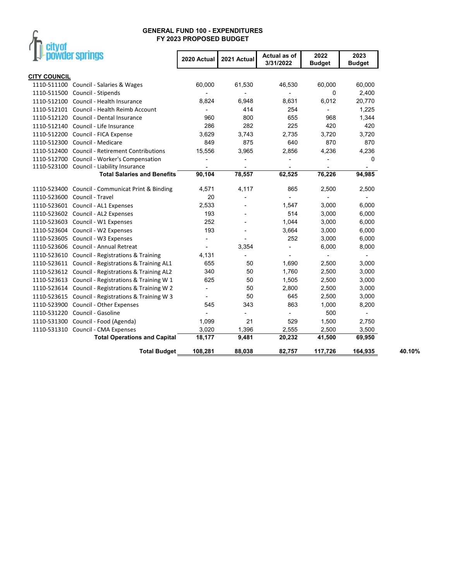# $\int_{\Gamma}$  city of

| powder springs                                        | 2020 Actual              | 2021 Actual              | Actual as of<br>3/31/2022 | 2022<br><b>Budget</b>    | 2023<br><b>Budget</b>    |        |
|-------------------------------------------------------|--------------------------|--------------------------|---------------------------|--------------------------|--------------------------|--------|
| <b>CITY COUNCIL</b>                                   |                          |                          |                           |                          |                          |        |
| 1110-511100 Council - Salaries & Wages                | 60,000                   | 61,530                   | 46,530                    | 60,000                   | 60,000                   |        |
| Council - Stipends<br>1110-511500                     |                          |                          |                           | 0                        | 2,400                    |        |
| Council - Health Insurance<br>1110-512100             | 8,824                    | 6,948                    | 8,631                     | 6,012                    | 20,770                   |        |
| 1110-512101 Council - Health Reimb Account            |                          | 414                      | 254                       | $\overline{\phantom{a}}$ | 1,225                    |        |
| 1110-512120 Council - Dental Insurance                | 960                      | 800                      | 655                       | 968                      | 1,344                    |        |
| 1110-512140 Council - Life Insurance                  | 286                      | 282                      | 225                       | 420                      | 420                      |        |
| 1110-512200 Council - FICA Expense                    | 3,629                    | 3,743                    | 2,735                     | 3,720                    | 3,720                    |        |
| 1110-512300 Council - Medicare                        | 849                      | 875                      | 640                       | 870                      | 870                      |        |
| 1110-512400 Council - Retirement Contributions        | 15,556                   | 3,965                    | 2,856                     | 4,236                    | 4,236                    |        |
| 1110-512700<br>Council - Worker's Compensation        |                          | ÷,                       | L,                        |                          | 0                        |        |
| 1110-523100 Council - Liability Insurance             | $\overline{\phantom{a}}$ | $\overline{\phantom{a}}$ | $\overline{\phantom{a}}$  |                          | ۰                        |        |
| <b>Total Salaries and Benefits</b>                    | 90,104                   | 78,557                   | 62,525                    | 76,226                   | 94,985                   |        |
| 1110-523400 Council - Communicat Print & Binding      | 4,571                    | 4,117                    | 865                       | 2,500                    | 2,500                    |        |
| Council - Travel<br>1110-523600                       | 20                       | $\overline{a}$           |                           | $\overline{\phantom{a}}$ | $\overline{\phantom{a}}$ |        |
| 1110-523601 Council - AL1 Expenses                    | 2,533                    |                          | 1,547                     | 3,000                    | 6,000                    |        |
| 1110-523602 Council - AL2 Expenses                    | 193                      |                          | 514                       | 3,000                    | 6,000                    |        |
| 1110-523603 Council - W1 Expenses                     | 252                      | $\overline{a}$           | 1,044                     | 3,000                    | 6,000                    |        |
| 1110-523604 Council - W2 Expenses                     | 193                      | $\overline{\phantom{a}}$ | 3,664                     | 3,000                    | 6,000                    |        |
| Council - W3 Expenses<br>1110-523605                  | $\blacksquare$           | $\overline{\phantom{a}}$ | 252                       | 3,000                    | 6,000                    |        |
| 1110-523606<br>Council - Annual Retreat               | $\overline{\phantom{a}}$ | 3,354                    | ٠                         | 6,000                    | 8,000                    |        |
| Council - Registrations & Training<br>1110-523610     | 4,131                    | $\blacksquare$           | $\overline{a}$            | $\blacksquare$           | $\blacksquare$           |        |
| 1110-523611<br>Council - Registrations & Training AL1 | 655                      | 50                       | 1,690                     | 2,500                    | 3,000                    |        |
| Council - Registrations & Training AL2<br>1110-523612 | 340                      | 50                       | 1,760                     | 2,500                    | 3,000                    |        |
| Council - Registrations & Training W 1<br>1110-523613 | 625                      | 50                       | 1,505                     | 2,500                    | 3,000                    |        |
| 1110-523614<br>Council - Registrations & Training W 2 | $\overline{\phantom{a}}$ | 50                       | 2,800                     | 2,500                    | 3,000                    |        |
| Council - Registrations & Training W 3<br>1110-523615 | $\overline{\phantom{a}}$ | 50                       | 645                       | 2,500                    | 3,000                    |        |
| Council - Other Expenses<br>1110-523900               | 545                      | 343                      | 863                       | 1,000                    | 8,200                    |        |
| Council - Gasoline<br>1110-531220                     |                          | ÷,                       |                           | 500                      | $\overline{\phantom{a}}$ |        |
| 1110-531300 Council - Food (Agenda)                   | 1,099                    | 21                       | 529                       | 1,500                    | 2,750                    |        |
| 1110-531310 Council - CMA Expenses                    | 3,020                    | 1,396                    | 2,555                     | 2,500                    | 3,500                    |        |
| <b>Total Operations and Capital</b>                   | 18,177                   | 9,481                    | 20,232                    | 41,500                   | 69,950                   |        |
| <b>Total Budget</b>                                   | 108,281                  | 88,038                   | 82,757                    | 117,726                  | 164,935                  | 40.10% |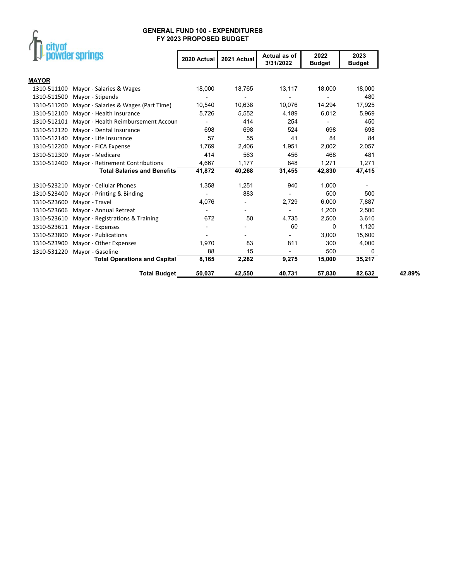

| powder springs                                         | 2020 Actual | 2021 Actual | Actual as of<br>3/31/2022 | 2022<br><b>Budget</b> | 2023<br><b>Budget</b> |        |
|--------------------------------------------------------|-------------|-------------|---------------------------|-----------------------|-----------------------|--------|
| <b>MAYOR</b>                                           |             |             |                           |                       |                       |        |
| 1310-511100<br>Mayor - Salaries & Wages                | 18,000      | 18,765      | 13,117                    | 18,000                | 18,000                |        |
| 1310-511500<br>Mayor - Stipends                        |             |             |                           |                       | 480                   |        |
| 1310-511200<br>Mayor - Salaries & Wages (Part Time)    | 10,540      | 10,638      | 10,076                    | 14,294                | 17,925                |        |
| 1310-512100<br>Mayor - Health Insurance                | 5.726       | 5,552       | 4,189                     | 6,012                 | 5,969                 |        |
| 1310-512101<br>Mayor - Health Reimbursement Accoun     |             | 414         | 254                       |                       | 450                   |        |
| 1310-512120<br>Mayor - Dental Insurance                | 698         | 698         | 524                       | 698                   | 698                   |        |
| 1310-512140<br>Mayor - Life Insurance                  | 57          | 55          | 41                        | 84                    | 84                    |        |
| 1310-512200<br>Mayor - FICA Expense                    | 1,769       | 2,406       | 1,951                     | 2,002                 | 2,057                 |        |
| 1310-512300<br>Mayor - Medicare                        | 414         | 563         | 456                       | 468                   | 481                   |        |
| 1310-512400<br><b>Mayor - Retirement Contributions</b> | 4,667       | 1,177       | 848                       | 1,271                 | 1,271                 |        |
| <b>Total Salaries and Benefits</b>                     | 41,872      | 40,268      | 31,455                    | 42,830                | 47,415                |        |
| 1310-523210<br>Mayor - Cellular Phones                 | 1,358       | 1,251       | 940                       | 1,000                 |                       |        |
| 1310-523400<br>Mayor - Printing & Binding              |             | 883         |                           | 500                   | 500                   |        |
| 1310-523600<br>Mayor - Travel                          | 4,076       |             | 2,729                     | 6,000                 | 7,887                 |        |
| 1310-523606<br>Mayor - Annual Retreat                  |             |             |                           | 1,200                 | 2,500                 |        |
| 1310-523610<br>Mayor - Registrations & Training        | 672         | 50          | 4,735                     | 2,500                 | 3,610                 |        |
| 1310-523611<br>Mayor - Expenses                        |             |             | 60                        | 0                     | 1,120                 |        |
| 1310-523800<br>Mayor - Publications                    |             |             |                           | 3,000                 | 15,600                |        |
| 1310-523900<br>Mayor - Other Expenses                  | 1,970       | 83          | 811                       | 300                   | 4,000                 |        |
| 1310-531220<br>Mayor - Gasoline                        | 88          | 15          | $\overline{\phantom{0}}$  | 500                   | 0                     |        |
| <b>Total Operations and Capital</b>                    | 8,165       | 2,282       | 9,275                     | 15,000                | 35,217                |        |
| <b>Total Budget</b>                                    | 50,037      | 42,550      | 40,731                    | 57,830                | 82,632                | 42.89% |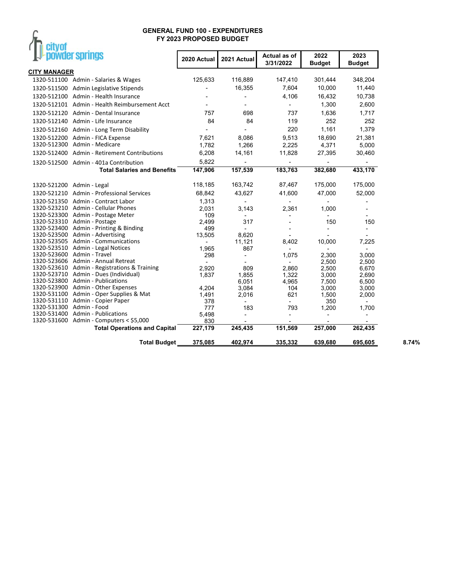

| --- <i>-</i>               |                                               |                          |                          |                           |                       |                          |
|----------------------------|-----------------------------------------------|--------------------------|--------------------------|---------------------------|-----------------------|--------------------------|
|                            | powder springs                                | 2020 Actual              | 2021 Actual              | Actual as of<br>3/31/2022 | 2022<br><b>Budget</b> | 2023<br><b>Budget</b>    |
| <b>CITY MANAGER</b>        |                                               |                          |                          |                           |                       |                          |
|                            | 1320-511100 Admin - Salaries & Wages          | 125,633                  | 116,889                  | 147,410                   | 301,444               | 348,204                  |
|                            | 1320-511500 Admin Legislative Stipends        |                          | 16,355                   | 7,604                     | 10,000                | 11,440                   |
|                            | 1320-512100 Admin - Health Insurance          |                          |                          | 4,106                     | 16,432                | 10,738                   |
|                            | 1320-512101 Admin - Health Reimbursement Acct |                          |                          |                           | 1,300                 | 2,600                    |
|                            |                                               | 757                      | 698                      | 737                       |                       |                          |
|                            | 1320-512120 Admin - Dental Insurance          |                          |                          |                           | 1,636                 | 1,717                    |
|                            | 1320-512140 Admin - Life Insurance            | 84                       | 84                       | 119                       | 252                   | 252                      |
|                            | 1320-512160 Admin - Long Term Disability      |                          |                          | 220                       | 1,161                 | 1,379                    |
|                            | 1320-512200 Admin - FICA Expense              | 7,621                    | 8,086                    | 9,513                     | 18,690                | 21,381                   |
|                            | 1320-512300 Admin - Medicare                  | 1,782                    | 1,266                    | 2,225                     | 4,371                 | 5,000                    |
|                            | 1320-512400 Admin - Retirement Contributions  | 6,208                    | 14,161                   | 11,828                    | 27,395                | 30,460                   |
|                            | 1320-512500 Admin - 401a Contribution         | 5,822                    |                          |                           |                       |                          |
|                            | <b>Total Salaries and Benefits</b>            | 147,906                  | 157,539                  | 183,763                   | 382,680               | 433,170                  |
| 1320-521200 Admin - Legal  |                                               | 118,185                  | 163,742                  | 87,467                    | 175,000               | 175,000                  |
|                            | 1320-521210 Admin - Professional Services     | 68,842                   | 43,627                   | 41,600                    | 47,000                | 52,000                   |
|                            | 1320-521350 Admin - Contract Labor            | 1,313                    |                          |                           |                       |                          |
|                            | 1320-523210 Admin - Cellular Phones           | 2,031                    | 3,143                    | 2,361                     | 1,000                 |                          |
|                            | 1320-523300 Admin - Postage Meter             | 109                      |                          | $\overline{\phantom{0}}$  |                       |                          |
|                            | 1320-523310 Admin - Postage                   | 2,499                    | 317                      |                           | 150                   | 150                      |
|                            | 1320-523400 Admin - Printing & Binding        | 499                      |                          |                           |                       |                          |
|                            | 1320-523500 Admin - Advertising               | 13,505                   | 8,620                    | $\overline{\phantom{a}}$  |                       |                          |
|                            | 1320-523505 Admin - Communications            | $\overline{\phantom{a}}$ | 11,121                   | 8,402                     | 10,000                | 7,225                    |
| 1320-523600 Admin - Travel | 1320-523510 Admin - Legal Notices             | 1,965                    | 867                      |                           |                       | $\overline{\phantom{0}}$ |
|                            | 1320-523606 Admin - Annual Retreat            | 298                      | $\overline{a}$           | 1,075                     | 2,300                 | 3,000                    |
|                            | 1320-523610 Admin - Registrations & Training  | 2,920                    | 809                      | 2,860                     | 2,500<br>2,500        | 2,500<br>6,670           |
|                            | 1320-523710 Admin - Dues (Individual)         | 1,837                    | 1,855                    | 1,322                     | 3,000                 | 2,690                    |
|                            | 1320-523800 Admin - Publications              |                          | 6,051                    | 4,965                     | 7,500                 | 6,500                    |
|                            | 1320-523900 Admin - Other Expenses            | 4,204                    | 3,084                    | 104                       | 3,000                 | 3,000                    |
|                            | 1320-531100 Admin - Oper Supplies & Mat       | 1,491                    | 2,016                    | 621                       | 1,500                 | 2,000                    |
|                            | 1320-531110 Admin - Copier Paper              | 378                      |                          |                           | 350                   |                          |
| 1320-531300 Admin - Food   |                                               | 777                      | 183                      | 793                       | 1,200                 | 1,700                    |
|                            | 1320-531400 Admin - Publications              | 5,498                    | $\overline{\phantom{a}}$ | $\overline{\phantom{a}}$  |                       |                          |
|                            | 1320-531600 Admin - Computers < \$5,000       | 830                      |                          |                           |                       |                          |
|                            | <b>Total Operations and Capital</b>           | 227,179                  | 245,435                  | 151,569                   | 257,000               | 262,435                  |
|                            | <b>Total Budget</b>                           | 375,085                  | 402,974                  | 335,332                   | 639,680               | 695,605                  |
|                            |                                               |                          |                          |                           |                       |                          |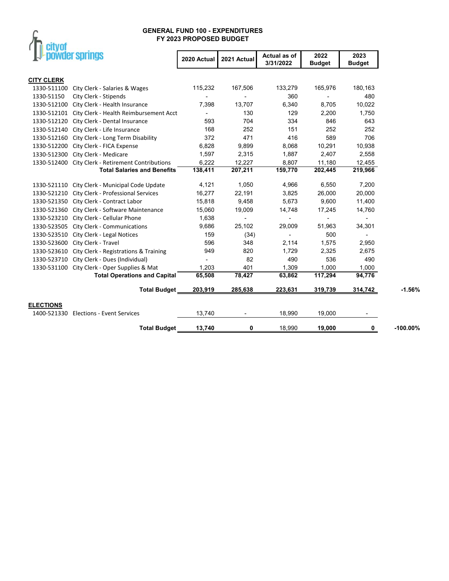# $\int_{\Gamma}$  city of

|                   | powder springs                                    | 2020 Actual              | 2021 Actual | Actual as of<br>3/31/2022 | 2022<br><b>Budget</b> | 2023<br><b>Budget</b>    |            |
|-------------------|---------------------------------------------------|--------------------------|-------------|---------------------------|-----------------------|--------------------------|------------|
| <b>CITY CLERK</b> |                                                   |                          |             |                           |                       |                          |            |
| 1330-511100       | City Clerk - Salaries & Wages                     | 115,232                  | 167,506     | 133,279                   | 165,976               | 180,163                  |            |
| 1330-51150        | City Clerk - Stipends                             |                          |             | 360                       |                       | 480                      |            |
| 1330-512100       | City Clerk - Health Insurance                     | 7,398                    | 13,707      | 6,340                     | 8,705                 | 10,022                   |            |
| 1330-512101       | City Clerk - Health Reimbursement Acct            | $\overline{\phantom{0}}$ | 130         | 129                       | 2,200                 | 1,750                    |            |
|                   | 1330-512120 City Clerk - Dental Insurance         | 593                      | 704         | 334                       | 846                   | 643                      |            |
| 1330-512140       | City Clerk - Life Insurance                       | 168                      | 252         | 151                       | 252                   | 252                      |            |
| 1330-512160       | City Clerk - Long Term Disability                 | 372                      | 471         | 416                       | 589                   | 706                      |            |
| 1330-512200       | City Clerk - FICA Expense                         | 6,828                    | 9,899       | 8,068                     | 10,291                | 10,938                   |            |
| 1330-512300       | City Clerk - Medicare                             | 1,597                    | 2,315       | 1,887                     | 2,407                 | 2,558                    |            |
|                   | 1330-512400 City Clerk - Retirement Contributions | 6,222                    | 12,227      | 8,807                     | 11,180                | 12,455                   |            |
|                   | <b>Total Salaries and Benefits</b>                | 138,411                  | 207,211     | 159,770                   | 202,445               | 219,966                  |            |
|                   | 1330-521110 City Clerk - Municipal Code Update    | 4,121                    | 1,050       | 4,966                     | 6,550                 | 7,200                    |            |
| 1330-521210       | City Clerk - Professional Services                | 16,277                   | 22,191      | 3,825                     | 26,000                | 20,000                   |            |
|                   | 1330-521350 City Clerk - Contract Labor           | 15,818                   | 9,458       | 5,673                     | 9,600                 | 11,400                   |            |
| 1330-521360       | City Clerk - Software Maintenance                 | 15,060                   | 19,009      | 14,748                    | 17,245                | 14,760                   |            |
|                   | 1330-523210 City Clerk - Cellular Phone           | 1,638                    |             | $\overline{\phantom{a}}$  |                       | $\overline{\phantom{a}}$ |            |
|                   | 1330-523505 City Clerk - Communications           | 9,686                    | 25,102      | 29,009                    | 51,963                | 34,301                   |            |
|                   | 1330-523510 City Clerk - Legal Notices            | 159                      | (34)        |                           | 500                   |                          |            |
| 1330-523600       | City Clerk - Travel                               | 596                      | 348         | 2,114                     | 1,575                 | 2,950                    |            |
| 1330-523610       | City Clerk - Registrations & Training             | 949                      | 820         | 1,729                     | 2,325                 | 2,675                    |            |
|                   | 1330-523710 City Clerk - Dues (Individual)        |                          | 82          | 490                       | 536                   | 490                      |            |
|                   | 1330-531100 City Clerk - Oper Supplies & Mat      | 1,203                    | 401         | 1,309                     | 1,000                 | 1,000                    |            |
|                   | <b>Total Operations and Capital</b>               | 65,508                   | 78,427      | 63,862                    | 117,294               | 94,776                   |            |
|                   | <b>Total Budget</b>                               | 203,919                  | 285,638     | 223,631                   | 319,739               | 314,742                  | $-1.56%$   |
| <b>ELECTIONS</b>  |                                                   |                          |             |                           |                       |                          |            |
| 1400-521330       | <b>Elections - Event Services</b>                 | 13,740                   |             | 18,990                    | 19,000                | $\overline{\phantom{a}}$ |            |
|                   | <b>Total Budget</b>                               | 13,740                   | 0           | 18,990                    | 19,000                | 0                        | $-100.00%$ |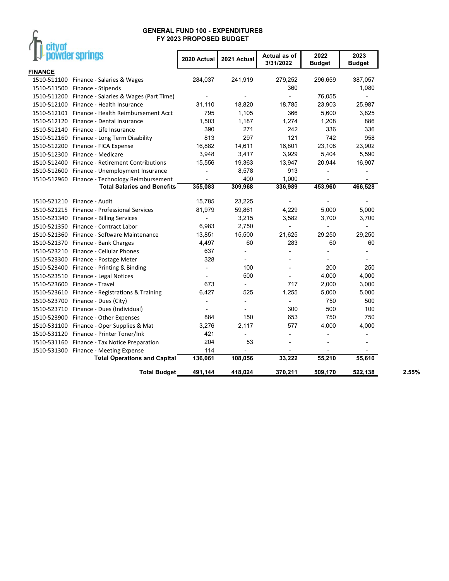| FY 2023 PROPOSED BUDGET<br>powder springs<br>2022<br>Actual as of<br>2020 Actual<br>2021 Actual<br>3/31/2022<br><b>Budget</b><br>284,037<br>241,919<br>279,252<br>1510-511100 Finance - Salaries & Wages<br>296,659<br>1510-511500 Finance - Stipends<br>360<br>1510-511200 Finance - Salaries & Wages (Part Time)<br>76,055<br>$\overline{a}$<br>$\blacksquare$<br>31,110<br>18,820<br>18,785<br>23,903<br>1510-512100 Finance - Health Insurance<br>795<br>1,105<br>5,600<br>366<br>1510-512101 Finance - Health Reimbursement Acct<br>1,274<br>1,503<br>1,187<br>1,208<br>1510-512120 Finance - Dental Insurance<br>271<br>336<br>390<br>242<br>1510-512140 Finance - Life Insurance | 2023<br><b>Budget</b><br>387,057<br>1,080<br>÷.<br>25,987<br>3,825<br>886 |
|-----------------------------------------------------------------------------------------------------------------------------------------------------------------------------------------------------------------------------------------------------------------------------------------------------------------------------------------------------------------------------------------------------------------------------------------------------------------------------------------------------------------------------------------------------------------------------------------------------------------------------------------------------------------------------------------|---------------------------------------------------------------------------|
| <b>FINANCE</b>                                                                                                                                                                                                                                                                                                                                                                                                                                                                                                                                                                                                                                                                          |                                                                           |
|                                                                                                                                                                                                                                                                                                                                                                                                                                                                                                                                                                                                                                                                                         |                                                                           |
|                                                                                                                                                                                                                                                                                                                                                                                                                                                                                                                                                                                                                                                                                         |                                                                           |
|                                                                                                                                                                                                                                                                                                                                                                                                                                                                                                                                                                                                                                                                                         |                                                                           |
|                                                                                                                                                                                                                                                                                                                                                                                                                                                                                                                                                                                                                                                                                         |                                                                           |
|                                                                                                                                                                                                                                                                                                                                                                                                                                                                                                                                                                                                                                                                                         |                                                                           |
|                                                                                                                                                                                                                                                                                                                                                                                                                                                                                                                                                                                                                                                                                         |                                                                           |
|                                                                                                                                                                                                                                                                                                                                                                                                                                                                                                                                                                                                                                                                                         |                                                                           |
|                                                                                                                                                                                                                                                                                                                                                                                                                                                                                                                                                                                                                                                                                         | 336                                                                       |
| 297<br>813<br>121<br>742<br>1510-512160 Finance - Long Term Disability                                                                                                                                                                                                                                                                                                                                                                                                                                                                                                                                                                                                                  | 958                                                                       |
| 16,882<br>14,611<br>16,801<br>23,108<br>1510-512200 Finance - FICA Expense                                                                                                                                                                                                                                                                                                                                                                                                                                                                                                                                                                                                              | 23,902                                                                    |
| 3,948<br>3,417<br>3,929<br>5,404<br>1510-512300 Finance - Medicare                                                                                                                                                                                                                                                                                                                                                                                                                                                                                                                                                                                                                      | 5,590                                                                     |
| 1510-512400 Finance - Retirement Contributions<br>15,556<br>19,363<br>13,947<br>20,944                                                                                                                                                                                                                                                                                                                                                                                                                                                                                                                                                                                                  | 16,907                                                                    |
| 8,578<br>913<br>1510-512600 Finance - Unemployment Insurance<br>÷,                                                                                                                                                                                                                                                                                                                                                                                                                                                                                                                                                                                                                      | $\overline{\phantom{0}}$                                                  |
| 400<br>1,000<br>1510-512960 Finance - Technology Reimbursement                                                                                                                                                                                                                                                                                                                                                                                                                                                                                                                                                                                                                          |                                                                           |
| 309,968<br>336,989<br>453,960<br><b>Total Salaries and Benefits</b><br>355,083                                                                                                                                                                                                                                                                                                                                                                                                                                                                                                                                                                                                          | 466,528                                                                   |
| 15,785<br>23,225<br>1510-521210 Finance - Audit                                                                                                                                                                                                                                                                                                                                                                                                                                                                                                                                                                                                                                         |                                                                           |
| 81,979<br>59,861<br>4,229<br>5,000<br>1510-521215 Finance - Professional Services                                                                                                                                                                                                                                                                                                                                                                                                                                                                                                                                                                                                       | 5,000                                                                     |
| 3,215<br>3,582<br>3,700<br>1510-521340 Finance - Billing Services                                                                                                                                                                                                                                                                                                                                                                                                                                                                                                                                                                                                                       | 3,700                                                                     |
| 6,983<br>2,750<br>1510-521350 Finance - Contract Labor                                                                                                                                                                                                                                                                                                                                                                                                                                                                                                                                                                                                                                  | $\blacksquare$                                                            |
| 13,851<br>15,500<br>21,625<br>29,250<br>1510-521360 Finance - Software Maintenance                                                                                                                                                                                                                                                                                                                                                                                                                                                                                                                                                                                                      | 29,250                                                                    |
| 1510-521370 Finance - Bank Charges<br>4,497<br>60<br>283<br>60                                                                                                                                                                                                                                                                                                                                                                                                                                                                                                                                                                                                                          | 60                                                                        |
| 1510-523210 Finance - Cellular Phones<br>637<br>$\overline{a}$<br>$\overline{\phantom{a}}$                                                                                                                                                                                                                                                                                                                                                                                                                                                                                                                                                                                              | ٠                                                                         |
| 328<br>1510-523300 Finance - Postage Meter<br>÷,                                                                                                                                                                                                                                                                                                                                                                                                                                                                                                                                                                                                                                        |                                                                           |
| 100<br>200<br>1510-523400 Finance - Printing & Binding<br>$\overline{\phantom{a}}$<br>$\overline{a}$                                                                                                                                                                                                                                                                                                                                                                                                                                                                                                                                                                                    | 250                                                                       |
| 500<br>1510-523510 Finance - Legal Notices<br>4,000                                                                                                                                                                                                                                                                                                                                                                                                                                                                                                                                                                                                                                     | 4,000                                                                     |
| 1510-523600 Finance - Travel<br>673<br>717<br>2,000<br>$\frac{1}{2}$                                                                                                                                                                                                                                                                                                                                                                                                                                                                                                                                                                                                                    | 3,000                                                                     |
| 6,427<br>525<br>1,255<br>5,000<br>1510-523610 Finance - Registrations & Training                                                                                                                                                                                                                                                                                                                                                                                                                                                                                                                                                                                                        | 5,000                                                                     |
| 750<br>1510-523700 Finance - Dues (City)<br>$\overline{a}$<br>$\overline{a}$                                                                                                                                                                                                                                                                                                                                                                                                                                                                                                                                                                                                            | 500                                                                       |
| 500<br>300<br>1510-523710 Finance - Dues (Individual)                                                                                                                                                                                                                                                                                                                                                                                                                                                                                                                                                                                                                                   | 100                                                                       |
| 884<br>150<br>653<br>750<br>1510-523900 Finance - Other Expenses                                                                                                                                                                                                                                                                                                                                                                                                                                                                                                                                                                                                                        | 750                                                                       |
| 2,117<br>4,000<br>3,276<br>577<br>1510-531100 Finance - Oper Supplies & Mat                                                                                                                                                                                                                                                                                                                                                                                                                                                                                                                                                                                                             | 4,000                                                                     |
| 1510-531120 Finance - Printer Toner/Ink<br>421<br>$\overline{a}$                                                                                                                                                                                                                                                                                                                                                                                                                                                                                                                                                                                                                        |                                                                           |
| 1510-531160 Finance - Tax Notice Preparation<br>204<br>53<br>$\overline{a}$                                                                                                                                                                                                                                                                                                                                                                                                                                                                                                                                                                                                             | $\overline{a}$                                                            |
| 114<br>1510-531300 Finance - Meeting Expense                                                                                                                                                                                                                                                                                                                                                                                                                                                                                                                                                                                                                                            |                                                                           |
| 108,056<br>33,222<br>55,210<br><b>Total Operations and Capital</b><br>136,061                                                                                                                                                                                                                                                                                                                                                                                                                                                                                                                                                                                                           | 55,610                                                                    |
| 491,144<br>418,024<br>370,211<br>509,170<br><b>Total Budget</b>                                                                                                                                                                                                                                                                                                                                                                                                                                                                                                                                                                                                                         | 522,138                                                                   |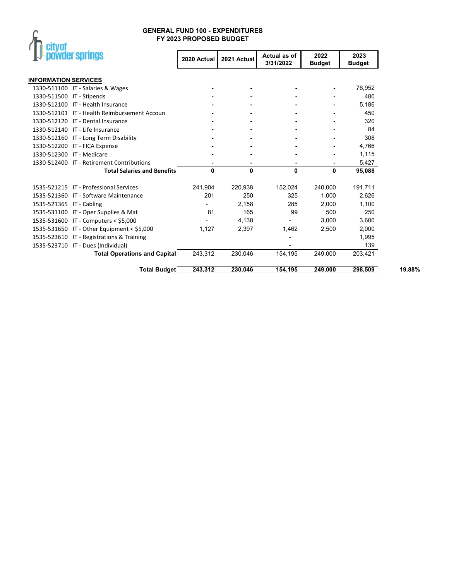

|                             | powder springs                               | 2020 Actual | 2021 Actual | Actual as of<br>3/31/2022 | 2022<br><b>Budget</b> | 2023<br><b>Budget</b> |        |
|-----------------------------|----------------------------------------------|-------------|-------------|---------------------------|-----------------------|-----------------------|--------|
| <b>INFORMATION SERVICES</b> |                                              |             |             |                           |                       |                       |        |
|                             | 1330-511100 IT - Salaries & Wages            |             |             |                           |                       | 76,952                |        |
| 1330-511500 IT - Stipends   |                                              |             |             |                           |                       | 480                   |        |
|                             | 1330-512100 IT - Health Insurance            |             |             |                           |                       | 5,186                 |        |
|                             | 1330-512101 IT - Health Reimbursement Accoun |             |             |                           |                       | 450                   |        |
|                             | 1330-512120 IT - Dental Insurance            |             |             |                           |                       | 320                   |        |
|                             | 1330-512140 IT - Life Insurance              |             |             |                           |                       | 84                    |        |
|                             | 1330-512160 IT - Long Term Disability        |             |             |                           |                       | 308                   |        |
|                             | 1330-512200 IT - FICA Expense                |             |             |                           |                       | 4,766                 |        |
|                             | 1330-512300 IT - Medicare                    |             |             |                           |                       | 1,115                 |        |
|                             | 1330-512400 IT - Retirement Contributions    |             |             |                           |                       | 5,427                 |        |
|                             | <b>Total Salaries and Benefits</b>           | 0           | 0           | 0                         | 0                     | 95,088                |        |
|                             | 1535-521215 IT - Professional Services       | 241,904     | 220,938     | 152,024                   | 240,000               | 191,711               |        |
|                             | 1535-521360 IT - Software Maintenance        | 201         | 250         | 325                       | 1,000                 | 2,626                 |        |
| 1535-521365 IT - Cabling    |                                              |             | 2,158       | 285                       | 2,000                 | 1,100                 |        |
|                             | 1535-531100 IT - Oper Supplies & Mat         | 81          | 165         | 99                        | 500                   | 250                   |        |
|                             | 1535-531600 IT - Computers < \$5,000         |             | 4,138       |                           | 3,000                 | 3,600                 |        |
|                             | 1535-531650 IT - Other Equipment < \$5,000   | 1,127       | 2,397       | 1,462                     | 2,500                 | 2,000                 |        |
|                             | 1535-523610 IT - Registrations & Training    |             |             |                           |                       | 1,995                 |        |
|                             | 1535-523710 IT - Dues (Individual)           |             |             |                           |                       | 139                   |        |
|                             | <b>Total Operations and Capital</b>          | 243,312     | 230,046     | 154,195                   | 249,000               | 203,421               |        |
|                             | <b>Total Budget</b>                          | 243,312     | 230,046     | 154, 195                  | 249,000               | 298,509               | 19.88% |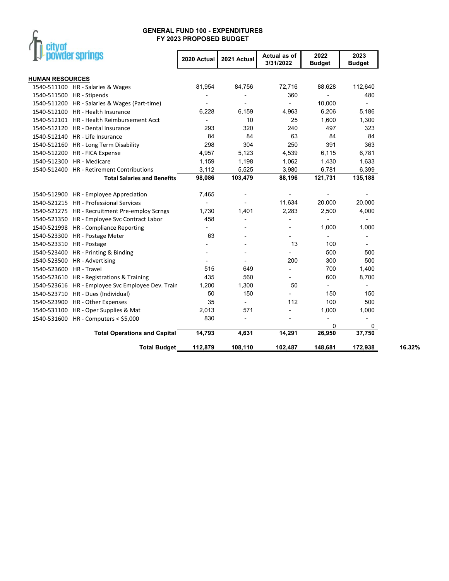

L.

|                          | powder springs                                    | 2020 Actual              | 2021 Actual              | Actual as of<br>3/31/2022 | 2022<br><b>Budget</b>    | 2023<br><b>Budget</b>    |        |
|--------------------------|---------------------------------------------------|--------------------------|--------------------------|---------------------------|--------------------------|--------------------------|--------|
| <b>HUMAN RESOURCES</b>   |                                                   |                          |                          |                           |                          |                          |        |
|                          | 1540-511100 HR - Salaries & Wages                 | 81,954                   | 84,756                   | 72,716                    | 88,628                   | 112,640                  |        |
|                          | 1540-511500 HR - Stipends                         |                          |                          | 360                       | $\overline{a}$           | 480                      |        |
|                          | 1540-511200 HR - Salaries & Wages (Part-time)     |                          |                          |                           | 10,000                   | $\overline{\phantom{a}}$ |        |
|                          | 1540-512100 HR - Health Insurance                 | 6,228                    | 6,159                    | 4,963                     | 6,206                    | 5,186                    |        |
|                          | 1540-512101 HR - Health Reimbursement Acct        | ٠                        | 10                       | 25                        | 1,600                    | 1,300                    |        |
|                          | 1540-512120 HR - Dental Insurance                 | 293                      | 320                      | 240                       | 497                      | 323                      |        |
|                          | 1540-512140 HR - Life Insurance                   | 84                       | 84                       | 63                        | 84                       | 84                       |        |
|                          | 1540-512160 HR - Long Term Disability             | 298                      | 304                      | 250                       | 391                      | 363                      |        |
|                          | 1540-512200 HR - FICA Expense                     | 4,957                    | 5,123                    | 4,539                     | 6,115                    | 6,781                    |        |
|                          | 1540-512300 HR - Medicare                         | 1,159                    | 1,198                    | 1,062                     | 1,430                    | 1,633                    |        |
|                          | 1540-512400 HR - Retirement Contributions         | 3,112                    | 5,525                    | 3,980                     | 6,781                    | 6,399                    |        |
|                          | <b>Total Salaries and Benefits</b>                | 98,086                   | 103,479                  | 88,196                    | 121,731                  | 135,188                  |        |
|                          | 1540-512900 HR - Employee Appreciation            | 7,465                    |                          |                           |                          |                          |        |
|                          | 1540-521215 HR - Professional Services            |                          |                          | 11,634                    | 20,000                   | 20,000                   |        |
|                          | 1540-521275 HR - Recruitment Pre-employ Scrngs    | 1,730                    | 1,401                    | 2,283                     | 2,500                    | 4,000                    |        |
|                          | 1540-521350 HR - Employee Svc Contract Labor      | 458                      | $\overline{\phantom{a}}$ |                           |                          |                          |        |
|                          | 1540-521998 HR - Compliance Reporting             |                          |                          |                           | 1,000                    | 1,000                    |        |
|                          | 1540-523300 HR - Postage Meter                    | 63                       |                          |                           |                          |                          |        |
| 1540-523310 HR - Postage |                                                   | $\overline{a}$           |                          | 13                        | 100                      | $\overline{\phantom{a}}$ |        |
|                          | 1540-523400 HR - Printing & Binding               | ۰                        |                          |                           | 500                      | 500                      |        |
|                          | 1540-523500 HR - Advertising                      | $\overline{\phantom{a}}$ |                          | 200                       | 300                      | 500                      |        |
| 1540-523600 HR - Travel  |                                                   | 515                      | 649                      | $\overline{\phantom{0}}$  | 700                      | 1,400                    |        |
|                          | 1540-523610 HR - Registrations & Training         | 435                      | 560                      |                           | 600                      | 8,700                    |        |
|                          | 1540-523616 HR - Employee Svc Employee Dev. Train | 1,200                    | 1,300                    | 50                        | $\overline{\phantom{0}}$ |                          |        |
|                          | 1540-523710 HR - Dues (Individual)                | 50                       | 150                      |                           | 150                      | 150                      |        |
|                          | 1540-523900 HR - Other Expenses                   | 35                       | $\overline{\phantom{0}}$ | 112                       | 100                      | 500                      |        |
|                          | 1540-531100 HR - Oper Supplies & Mat              | 2,013                    | 571                      |                           | 1,000                    | 1,000                    |        |
|                          | 1540-531600 HR - Computers < \$5,000              | 830                      |                          |                           | $\overline{a}$           | $\overline{a}$           |        |
|                          |                                                   |                          |                          |                           | 0                        | 0                        |        |
|                          | <b>Total Operations and Capital</b>               | 14,793                   | 4,631                    | 14,291                    | 26,950                   | 37,750                   |        |
|                          | <b>Total Budget</b>                               | 112,879                  | 108,110                  | 102,487                   | 148,681                  | 172,938                  | 16.32% |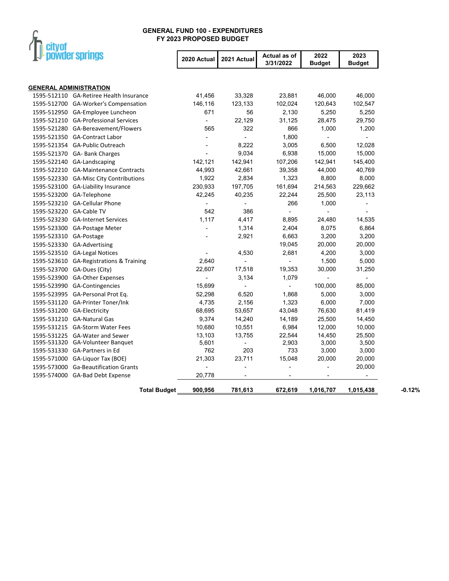

| powder springs                     |                                         | 2020 Actual              | 2021 Actual    | Actual as of<br>3/31/2022 | 2022<br><b>Budget</b>    | 2023<br><b>Budget</b>    |
|------------------------------------|-----------------------------------------|--------------------------|----------------|---------------------------|--------------------------|--------------------------|
|                                    |                                         |                          |                |                           |                          |                          |
| <b>GENERAL ADMINISTRATION</b>      |                                         |                          |                |                           |                          |                          |
|                                    | 1595-512110 GA-Retiree Health Insurance | 41,456                   | 33,328         | 23,881                    | 46,000                   | 46,000                   |
| 1595-512700                        | <b>GA-Worker's Compensation</b>         | 146,116                  | 123,133        | 102,024                   | 120,643                  | 102,547                  |
| 1595-512950 GA-Employee Luncheon   |                                         | 671                      | 56             | 2,130                     | 5,250                    | 5,250                    |
|                                    | 1595-521210 GA-Professional Services    | $\blacksquare$           | 22,129         | 31,125                    | 28,475                   | 29,750                   |
| 1595-521280                        | GA-Bereavement/Flowers                  | 565                      | 322            | 866                       | 1,000                    | 1,200                    |
| 1595-521350 GA-Contract Labor      |                                         | $\overline{\phantom{a}}$ | $\blacksquare$ | 1,800                     | $\overline{\phantom{a}}$ | $\overline{\phantom{a}}$ |
| 1595-521354 GA-Public Outreach     |                                         | $\overline{a}$           | 8,222          | 3,005                     | 6,500                    | 12,028                   |
| 1595-521370                        | GA- Bank Charges                        |                          | 9,034          | 6,938                     | 15,000                   | 15,000                   |
| 1595-522140                        | GA-Landscaping                          | 142,121                  | 142,941        | 107,206                   | 142,941                  | 145,400                  |
|                                    | 1595-522210 GA-Maintenance Contracts    | 44,993                   | 42,661         | 39,358                    | 44,000                   | 40,769                   |
| 1595-522330                        | <b>GA-Misc City Contributions</b>       | 1,922                    | 2,834          | 1,323                     | 8,800                    | 8,000                    |
| 1595-523100 GA-Liability Insurance |                                         | 230,933                  | 197,705        | 161,694                   | 214,563                  | 229,662                  |
| 1595-523200                        | GA-Telephone                            | 42,245                   | 40,235         | 22,244                    | 25,500                   | 23,113                   |
| 1595-523210                        | <b>GA-Cellular Phone</b>                |                          |                | 266                       | 1,000                    | $\overline{\phantom{a}}$ |
| 1595-523220 GA-Cable TV            |                                         | 542                      | 386            |                           | $\overline{a}$           | $\overline{a}$           |
| 1595-523230                        | <b>GA-Internet Services</b>             | 1,117                    | 4,417          | 8,895                     | 24,480                   | 14,535                   |
| 1595-523300 GA-Postage Meter       |                                         | ÷,                       | 1,314          | 2,404                     | 8,075                    | 6,864                    |
| 1595-523310                        | GA-Postage                              |                          | 2,921          | 6,663                     | 3,200                    | 3,200                    |
| 1595-523330 GA-Advertising         |                                         |                          |                | 19,045                    | 20,000                   | 20,000                   |
| 1595-523510                        | <b>GA-Legal Notices</b>                 |                          | 4,530          | 2,681                     | 4,200                    | 3,000                    |
| 1595-523610                        | <b>GA-Registrations &amp; Training</b>  | 2,640                    |                |                           | 1,500                    | 5,000                    |
| 1595-523700                        | GA-Dues (City)                          | 22,607                   | 17,518         | 19,353                    | 30,000                   | 31,250                   |
| 1595-523900                        | GA-Other Expenses                       |                          | 3,134          | 1,079                     |                          | $\overline{a}$           |
| 1595-523990                        | <b>GA-Contingencies</b>                 | 15,699                   | $\frac{1}{2}$  |                           | 100,000                  | 85,000                   |
| 1595-523995                        | GA-Personal Prot Eq.                    | 52,298                   | 6,520          | 1,868                     | 5,000                    | 3,000                    |
| 1595-531120                        | <b>GA-Printer Toner/Ink</b>             | 4,735                    | 2,156          | 1,323                     | 6,000                    | 7,000                    |
| 1595-531200                        | GA-Electricity                          | 68,695                   | 53,657         | 43,048                    | 76,630                   | 81,419                   |
| 1595-531210                        | <b>GA-Natural Gas</b>                   | 9,374                    | 14,240         | 14,189                    | 25,500                   | 14,450                   |
| 1595-531215 GA-Storm Water Fees    |                                         | 10,680                   | 10,551         | 6,984                     | 12,000                   | 10,000                   |
| 1595-531225                        | <b>GA-Water and Sewer</b>               | 13,103                   | 13,755         | 22,544                    | 14,450                   | 25,500                   |
| 1595-531320 GA-Volunteer Banguet   |                                         | 5,601                    |                | 2,903                     | 3,000                    | 3,500                    |
| 1595-531330 GA-Partners in Ed      |                                         | 762                      | 203            | 733                       | 3,000                    | 3,000                    |
| 1595-571000                        | GA-Liquor Tax (BOE)                     | 21,303                   | 23,711         | 15,048                    | 20,000                   | 20,000                   |
|                                    | 1595-573000 Ga-Beautification Grants    |                          | L,             | -                         |                          | 20,000                   |
| 1595-574000 GA-Bad Debt Expense    |                                         | 20,778                   |                |                           |                          |                          |
|                                    | <b>Total Budget</b>                     | 900,956                  | 781,613        | 672,619                   | 1,016,707                | 1,015,438                |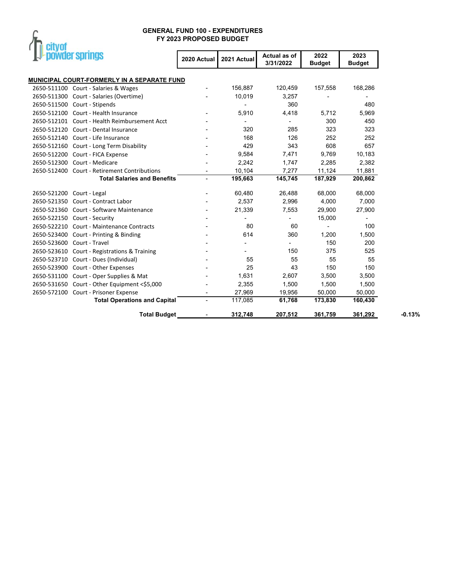

| powder springs               |                                               | 2020 Actual | 2021 Actual | Actual as of<br>3/31/2022 | 2022<br><b>Budget</b> | 2023<br><b>Budget</b> |          |
|------------------------------|-----------------------------------------------|-------------|-------------|---------------------------|-----------------------|-----------------------|----------|
|                              | MUNICIPAL COURT-FORMERLY IN A SEPARATE FUND   |             |             |                           |                       |                       |          |
|                              | 2650-511100 Court - Salaries & Wages          |             | 156,887     | 120,459                   | 157,558               | 168,286               |          |
|                              | 2650-511300 Court - Salaries (Overtime)       |             | 10,019      | 3,257                     |                       |                       |          |
| 2650-511500 Court - Stipends |                                               |             |             | 360                       |                       | 480                   |          |
|                              | 2650-512100 Court - Health Insurance          |             | 5,910       | 4,418                     | 5,712                 | 5,969                 |          |
|                              | 2650-512101 Court - Health Reimbursement Acct |             |             |                           | 300                   | 450                   |          |
|                              | 2650-512120 Court - Dental Insurance          |             | 320         | 285                       | 323                   | 323                   |          |
|                              | 2650-512140 Court - Life Insurance            |             | 168         | 126                       | 252                   | 252                   |          |
|                              | 2650-512160 Court - Long Term Disability      |             | 429         | 343                       | 608                   | 657                   |          |
|                              | 2650-512200 Court - FICA Expense              |             | 9,584       | 7,471                     | 9,769                 | 10,183                |          |
| 2650-512300 Court - Medicare |                                               |             | 2,242       | 1,747                     | 2,285                 | 2,382                 |          |
|                              | 2650-512400 Court - Retirement Contributions  |             | 10,104      | 7,277                     | 11,124                | 11,881                |          |
|                              | <b>Total Salaries and Benefits</b>            | ÷,          | 195,663     | 145,745                   | 187,929               | 200,862               |          |
| 2650-521200 Court - Legal    |                                               |             | 60,480      | 26,488                    | 68,000                | 68,000                |          |
| 2650-521350                  | Court - Contract Labor                        |             | 2,537       | 2,996                     | 4,000                 | 7,000                 |          |
|                              | 2650-521360 Court - Software Maintenance      |             | 21,339      | 7,553                     | 29,900                | 27,900                |          |
| 2650-522150 Court - Security |                                               |             |             |                           | 15,000                |                       |          |
|                              | 2650-522210 Court - Maintenance Contracts     |             | 80          | 60                        |                       | 100                   |          |
|                              | 2650-523400 Court - Printing & Binding        |             | 614         | 360                       | 1,200                 | 1,500                 |          |
| 2650-523600 Court - Travel   |                                               |             |             |                           | 150                   | 200                   |          |
|                              | 2650-523610 Court - Registrations & Training  |             |             | 150                       | 375                   | 525                   |          |
|                              | 2650-523710 Court - Dues (Individual)         |             | 55          | 55                        | 55                    | 55                    |          |
|                              | 2650-523900 Court - Other Expenses            |             | 25          | 43                        | 150                   | 150                   |          |
|                              | 2650-531100 Court - Oper Supplies & Mat       |             | 1,631       | 2,607                     | 3,500                 | 3,500                 |          |
|                              | 2650-531650 Court - Other Equipment <\$5,000  |             | 2,355       | 1,500                     | 1,500                 | 1,500                 |          |
|                              | 2650-572100 Court - Prisoner Expense          |             | 27,969      | 19,956                    | 50,000                | 50,000                |          |
|                              | <b>Total Operations and Capital</b>           |             | 117,085     | 61,768                    | 173,830               | 160,430               |          |
|                              | <b>Total Budget</b>                           |             | 312,748     | 207,512                   | 361,759               | 361,292               | $-0.13%$ |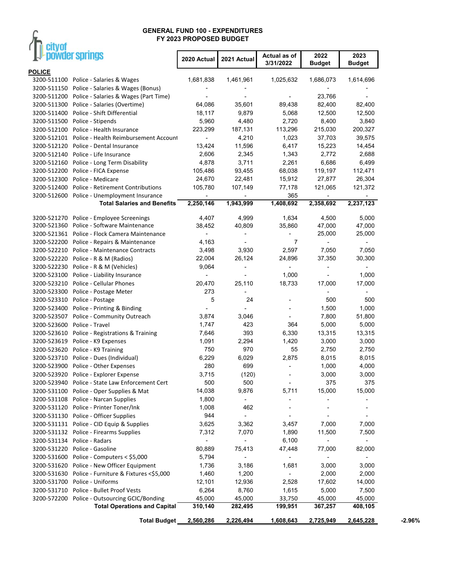$\mathcal{F}$ 

eitunf

| unyu<br>powder springs           |                                                   | 2020 Actual              | 2021 Actual              | Actual as of             | 2022          | 2023                     |          |
|----------------------------------|---------------------------------------------------|--------------------------|--------------------------|--------------------------|---------------|--------------------------|----------|
| <b>POLICE</b>                    |                                                   |                          |                          | 3/31/2022                | <b>Budget</b> | <b>Budget</b>            |          |
| 3200-511100                      | Police - Salaries & Wages                         | 1,681,838                | 1,461,961                | 1,025,632                | 1,686,073     | 1,614,696                |          |
|                                  | 3200-511150 Police - Salaries & Wages (Bonus)     |                          |                          |                          |               |                          |          |
|                                  | 3200-511200 Police - Salaries & Wages (Part Time) |                          |                          |                          | 23,766        |                          |          |
|                                  | 3200-511300 Police - Salaries (Overtime)          | 64,086                   | 35,601                   | 89,438                   | 82,400        | 82,400                   |          |
| 3200-511400                      | Police - Shift Differential                       | 18,117                   | 9,879                    | 5,068                    | 12,500        | 12,500                   |          |
| 3200-511500 Police - Stipends    |                                                   | 5,960                    | 4,480                    | 2,720                    | 8,400         | 3,840                    |          |
|                                  | 3200-512100 Police - Health Insurance             | 223,299                  | 187,131                  | 113,296                  | 215,030       | 200,327                  |          |
|                                  | 3200-512101 Police - Health Reimbursement Account |                          | 4,210                    | 1,023                    | 37,703        | 39,575                   |          |
|                                  | 3200-512120 Police - Dental Insurance             | 13,424                   | 11,596                   | 6,417                    | 15,223        | 14,454                   |          |
|                                  | 3200-512140 Police - Life Insurance               | 2,606                    | 2,345                    | 1,343                    | 2,772         | 2,688                    |          |
|                                  |                                                   | 4,878                    | 3,711                    | 2,261                    |               |                          |          |
|                                  | 3200-512160 Police - Long Term Disability         |                          |                          |                          | 6,686         | 6,499                    |          |
|                                  | 3200-512200 Police - FICA Expense                 | 105,486                  | 93,455                   | 68,038                   | 119,197       | 112,471                  |          |
| 3200-512300                      | Police - Medicare                                 | 24,670                   | 22,481                   | 15,912                   | 27,877        | 26,304                   |          |
| 3200-512400                      | <b>Police - Retirement Contributions</b>          | 105,780                  | 107,149                  | 77,178                   | 121,065       | 121,372                  |          |
|                                  | 3200-512600 Police - Unemployment Insurance       |                          |                          | 365                      |               |                          |          |
|                                  | <b>Total Salaries and Benefits</b>                | 2,250,146                | 1,943,999                | 1,408,692                | 2,358,692     | 2,237,123                |          |
|                                  | 3200-521270 Police - Employee Screenings          | 4,407                    | 4,999                    | 1,634                    | 4,500         | 5,000                    |          |
|                                  | 3200-521360 Police - Software Maintenance         | 38,452                   | 40,809                   | 35,860                   | 47,000        | 47,000                   |          |
|                                  | 3200-521361 Police - Flock Camera Maintenance     | $\overline{\phantom{a}}$ |                          | -                        | 25,000        | 25,000                   |          |
|                                  | 3200-522200 Police - Repairs & Maintenance        | 4,163                    | ÷,                       | 7                        |               | $\overline{\phantom{a}}$ |          |
|                                  | 3200-522210 Police - Maintenance Contracts        | 3,498                    | 3,930                    | 2,597                    | 7,050         | 7,050                    |          |
|                                  | 3200-522220 Police - R & M (Radios)               | 22,004                   | 26,124                   | 24,896                   | 37,350        | 30,300                   |          |
|                                  | 3200-522230 Police - R & M (Vehicles)             | 9,064                    |                          |                          |               | $\overline{\phantom{a}}$ |          |
|                                  | 3200-523100 Police - Liability Insurance          |                          |                          | 1,000                    |               | 1,000                    |          |
| 3200-523210                      | Police - Cellular Phones                          | 20,470                   | 25,110                   | 18,733                   | 17,000        | 17,000                   |          |
| 3200-523300                      | Police - Postage Meter                            | 273                      |                          |                          |               |                          |          |
| 3200-523310                      | Police - Postage                                  | 5                        | 24                       |                          | 500           | 500                      |          |
| 3200-523400                      | Police - Printing & Binding                       |                          |                          |                          | 1,500         | 1,000                    |          |
| 3200-523507                      | Police - Community Outreach                       | 3,874                    | 3,046                    |                          | 7,800         | 51,800                   |          |
| 3200-523600                      | Police - Travel                                   | 1,747                    | 423                      | 364                      | 5,000         | 5,000                    |          |
|                                  |                                                   |                          |                          |                          |               |                          |          |
| 3200-523610                      | Police - Registrations & Training                 | 7,646                    | 393                      | 6,330                    | 13,315        | 13,315                   |          |
| 3200-523619                      | Police - K9 Expenses                              | 1,091                    | 2,294                    | 1,420                    | 3,000         | 3,000                    |          |
| 3200-523620 Police - K9 Training |                                                   | 750                      | 970                      | 55                       | 2,750         | 2,750                    |          |
|                                  | 3200-523710 Police - Dues (Individual)            | 6,229                    | 6,029                    | 2,875                    | 8,015         | 8,015                    |          |
|                                  | 3200-523900 Police - Other Expenses               | 280                      | 699                      |                          | 1,000         | 4,000                    |          |
|                                  | 3200-523920 Police - Explorer Expense             | 3,715                    | (120)                    | -                        | 3,000         | 3,000                    |          |
| 3200-523940                      | Police - State Law Enforcement Cert               | 500                      | 500                      | $\overline{\phantom{a}}$ | 375           | 375                      |          |
| 3200-531100                      | Police - Oper Supplies & Mat                      | 14,038                   | 9,876                    | 5,711                    | 15,000        | 15,000                   |          |
| 3200-531108                      | Police - Narcan Supplies                          | 1,800                    | $\overline{\phantom{0}}$ | -                        |               | $\overline{a}$           |          |
|                                  | 3200-531120 Police - Printer Toner/Ink            | 1,008                    | 462                      | $\overline{\phantom{a}}$ |               |                          |          |
|                                  | 3200-531130 Police - Officer Supplies             | 944                      | $\overline{a}$           | $\overline{a}$           |               |                          |          |
|                                  | 3200-531131 Police - CID Equip & Supplies         | 3,625                    | 3,362                    | 3,457                    | 7,000         | 7,000                    |          |
| 3200-531132                      | Police - Firearms Supplies                        | 7,312                    | 7,070                    | 1,890                    | 11,500        | 7,500                    |          |
| 3200-531134                      | Police - Radars                                   | $\overline{\phantom{a}}$ |                          | 6,100                    |               | $\sim$                   |          |
| 3200-531220                      | Police - Gasoline                                 | 80,889                   | 75,413                   | 47,448                   | 77,000        | 82,000                   |          |
| 3200-531600                      | Police - Computers < \$5,000                      | 5,794                    |                          | ۰                        |               |                          |          |
| 3200-531620                      | Police - New Officer Equipment                    | 1,736                    | 3,186                    | 1,681                    | 3,000         | 3,000                    |          |
| 3200-531630                      | Police - Furniture & Fixtures <\$5,000            | 1,460                    | 1,200                    |                          | 2,000         | 2,000                    |          |
| 3200-531700    Police - Uniforms |                                                   | 12,101                   | 12,936                   | 2,528                    | 17,602        | 14,000                   |          |
| 3200-531710                      | Police - Bullet Proof Vests                       | 6,264                    | 8,760                    | 1,615                    | 5,000         | 7,500                    |          |
|                                  | 3200-572200 Police - Outsourcing GCIC/Bonding     | 45,000                   | 45,000                   | 33,750                   | 45,000        | 45,000                   |          |
|                                  | <b>Total Operations and Capital</b>               | 310,140                  | 282,495                  | 199,951                  | 367,257       | 408,105                  |          |
|                                  |                                                   |                          |                          |                          |               |                          |          |
|                                  | <b>Total Budget</b>                               | 2,560,286                | 2,226,494                | 1,608,643                | 2,725,949     | 2,645,228                | $-2.96%$ |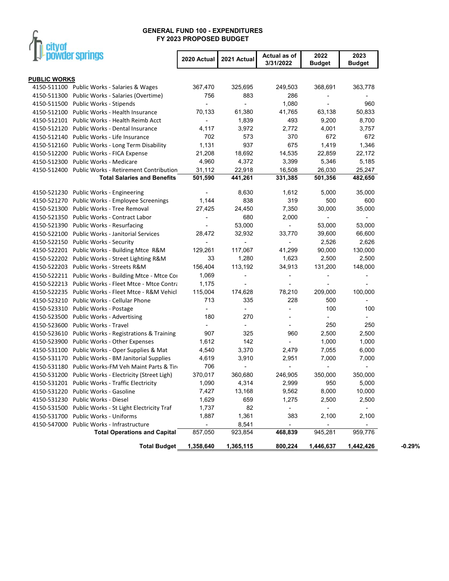# $\int_{\Gamma}$  city of

|                     | powder springs                                       | 2020 Actual              | 2021 Actual              | Actual as of<br>3/31/2022 | 2022<br><b>Budget</b>    | 2023<br><b>Budget</b>    |          |
|---------------------|------------------------------------------------------|--------------------------|--------------------------|---------------------------|--------------------------|--------------------------|----------|
|                     |                                                      |                          |                          |                           |                          |                          |          |
| <b>PUBLIC WORKS</b> |                                                      |                          |                          |                           |                          |                          |          |
|                     | 4150-511100 Public Works - Salaries & Wages          | 367,470                  | 325,695                  | 249,503                   | 368,691                  | 363,778                  |          |
|                     | 4150-511300 Public Works - Salaries (Overtime)       | 756                      | 883                      | 286                       |                          |                          |          |
|                     | 4150-511500 Public Works - Stipends                  |                          |                          | 1,080                     | $\overline{\phantom{a}}$ | 960                      |          |
|                     | 4150-512100 Public Works - Health Insurance          | 70,133                   | 61,380                   | 41,765                    | 63,138                   | 50,833                   |          |
|                     | 4150-512101 Public Works - Health Reimb Acct         | $\blacksquare$           | 1,839                    | 493                       | 9,200                    | 8,700                    |          |
|                     | 4150-512120 Public Works - Dental Insurance          | 4,117                    | 3,972                    | 2,772                     | 4,001                    | 3,757                    |          |
|                     | 4150-512140 Public Works - Life Insurance            | 702                      | 573                      | 370                       | 672                      | 672                      |          |
|                     | 4150-512160 Public Works - Long Term Disability      | 1,131                    | 937                      | 675                       | 1,419                    | 1,346                    |          |
|                     | 4150-512200 Public Works - FICA Expense              | 21,208                   | 18,692                   | 14,535                    | 22,859                   | 22,172                   |          |
| 4150-512300         | Public Works - Medicare                              | 4,960                    | 4,372                    | 3,399                     | 5,346                    | 5,185                    |          |
|                     | 4150-512400 Public Works - Retirement Contribution   | 31,112                   | 22,918                   | 16,508                    | 26,030                   | 25,247                   |          |
|                     | <b>Total Salaries and Benefits</b>                   | 501,590                  | 441,261                  | 331,385                   | 501,356                  | 482,650                  |          |
|                     |                                                      |                          |                          |                           |                          |                          |          |
|                     | 4150-521230 Public Works - Engineering               |                          | 8,630                    | 1,612                     | 5,000                    | 35,000                   |          |
|                     | 4150-521270 Public Works - Employee Screenings       | 1,144                    | 838                      | 319                       | 500                      | 600                      |          |
|                     | 4150-521300 Public Works - Tree Removal              | 27,425                   | 24,450                   | 7,350                     | 30,000                   | 35,000                   |          |
|                     | 4150-521350 Public Works - Contract Labor            | $\overline{\phantom{a}}$ | 680                      | 2,000                     |                          | $\overline{\phantom{a}}$ |          |
|                     | 4150-521390 Public Works - Resurfacing               | $\overline{\phantom{a}}$ | 53,000                   |                           | 53,000                   | 53,000                   |          |
|                     | 4150-522100 Public Works - Janitorial Services       | 28,472                   | 32,932                   | 33,770                    | 39,600                   | 66,600                   |          |
|                     | 4150-522150 Public Works - Security                  |                          |                          |                           | 2,526                    | 2,626                    |          |
|                     | 4150-522201 Public Works - Building Mtce R&M         | 129,261                  | 117,067                  | 41,299                    | 90,000                   | 130,000                  |          |
|                     | 4150-522202 Public Works - Street Lighting R&M       | 33                       | 1,280                    | 1,623                     | 2,500                    | 2,500                    |          |
|                     | 4150-522203 Public Works - Streets R&M               | 156,404                  | 113,192                  | 34,913                    | 131,200                  | 148,000                  |          |
|                     | 4150-522211 Public Works - Building Mtce - Mtce Cor  | 1,069                    |                          |                           |                          |                          |          |
|                     | 4150-522213 Public Works - Fleet Mtce - Mtce Contra  | 1,175                    |                          |                           |                          |                          |          |
|                     | 4150-522235 Public Works - Fleet Mtce - R&M Vehicl   | 115,004                  | 174,628                  | 78,210                    | 209,000                  | 100,000                  |          |
| 4150-523210         | Public Works - Cellular Phone                        | 713                      | 335                      | 228                       | 500                      | $\overline{\phantom{a}}$ |          |
|                     | 4150-523310 Public Works - Postage                   | $\blacksquare$           | $\overline{\phantom{a}}$ | $\overline{a}$            | 100                      | 100                      |          |
|                     | 4150-523500 Public Works - Advertising               | 180                      | 270                      |                           | $\blacksquare$           | $\overline{\phantom{a}}$ |          |
|                     | 4150-523600 Public Works - Travel                    | $\overline{\phantom{a}}$ | $\overline{\phantom{a}}$ |                           | 250                      | 250                      |          |
|                     | 4150-523610 Public Works - Registrations & Training  | 907                      | 325                      | 960                       | 2,500                    | 2,500                    |          |
|                     | 4150-523900 Public Works - Other Expenses            | 1,612                    | 142                      |                           | 1,000                    | 1,000                    |          |
|                     | 4150-531100 Public Works - Oper Supplies & Mat       | 4,540                    | 3,370                    | 2,479                     | 7,055                    | 6,000                    |          |
|                     | 4150-531170 Public Works - BM Janitorial Supplies    | 4,619                    | 3,910                    | 2,951                     | 7,000                    | 7,000                    |          |
|                     | 4150-531180 Public Works-FM Veh Maint Parts & Tire   | 706                      |                          |                           |                          |                          |          |
|                     |                                                      | 370,017                  | 360,680                  | 246,905                   | 350,000                  | 350,000                  |          |
|                     | 4150-531200 Public Works - Electricity (Street Ligh) |                          |                          |                           |                          |                          |          |
|                     | 4150-531201 Public Works - Traffic Electricity       | 1,090                    | 4,314                    | 2,999                     | 950                      | 5,000                    |          |
|                     | 4150-531220 Public Works - Gasoline                  | 7,427                    | 13,168                   | 9,562                     | 8,000                    | 10,000                   |          |
|                     | 4150-531230 Public Works - Diesel                    | 1,629                    | 659                      | 1,275                     | 2,500                    | 2,500                    |          |
|                     | 4150-531500 Public Works - St Light Electricity Traf | 1,737                    | 82                       |                           |                          | $\overline{\phantom{a}}$ |          |
|                     | 4150-531700 Public Works - Uniforms                  | 1,887                    | 1,361                    | 383                       | 2,100                    | 2,100                    |          |
|                     | 4150-547000 Public Works - Infrastructure            |                          | 8,541                    |                           |                          |                          |          |
|                     | <b>Total Operations and Capital</b>                  | 857,050                  | 923,854                  | 468,839                   | 945,281                  | 959,776                  |          |
|                     | <b>Total Budget</b>                                  | 1,358,640                | 1,365,115                | 800,224                   | 1,446,637                | 1,442,426                | $-0.29%$ |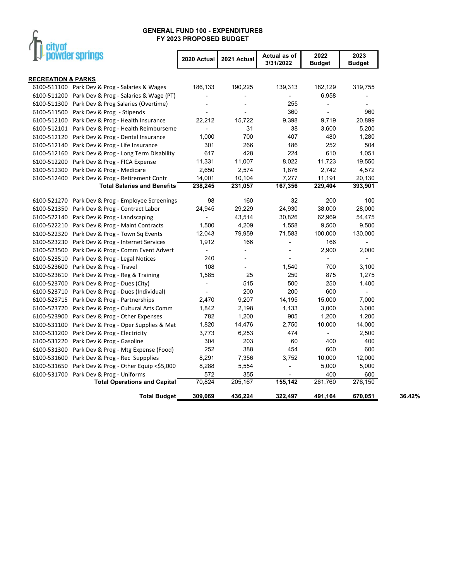

| <b>Ar powder springs</b>                             | 2020 Actual              | 2021 Actual              | Actual as of<br>3/31/2022 | 2022<br><b>Budget</b>    | 2023<br><b>Budget</b>    |        |
|------------------------------------------------------|--------------------------|--------------------------|---------------------------|--------------------------|--------------------------|--------|
| <b>RECREATION &amp; PARKS</b>                        |                          |                          |                           |                          |                          |        |
| 6100-511100 Park Dev & Prog - Salaries & Wages       | 186,133                  | 190,225                  | 139,313                   | 182,129                  | 319,755                  |        |
| 6100-511200 Park Dev & Prog - Salaries & Wage (PT)   |                          |                          |                           | 6,958                    |                          |        |
| 6100-511300 Park Dev & Prog Salaries (Overtime)      |                          |                          | 255                       | $\overline{\phantom{a}}$ |                          |        |
| 6100-511500 Park Dev & Prog - Stipends               |                          |                          | 360                       | $\overline{\phantom{a}}$ | 960                      |        |
| 6100-512100 Park Dev & Prog - Health Insurance       | 22,212                   | 15,722                   | 9,398                     | 9,719                    | 20,899                   |        |
| 6100-512101 Park Dev & Prog - Health Reimburseme     | $\overline{\phantom{a}}$ | 31                       | 38                        | 3,600                    | 5,200                    |        |
| 6100-512120 Park Dev & Prog - Dental Insurance       | 1,000                    | 700                      | 407                       | 480                      | 1,280                    |        |
| 6100-512140 Park Dev & Prog - Life Insurance         | 301                      | 266                      | 186                       | 252                      | 504                      |        |
| 6100-512160 Park Dev & Prog - Long Term Disability   | 617                      | 428                      | 224                       | 610                      | 1,051                    |        |
| 6100-512200 Park Dev & Prog - FICA Expense           | 11,331                   | 11,007                   | 8,022                     | 11,723                   | 19,550                   |        |
| 6100-512300 Park Dev & Prog - Medicare               | 2,650                    | 2,574                    | 1,876                     | 2,742                    | 4,572                    |        |
| 6100-512400 Park Dev & Prog - Retirement Contr       | 14,001                   | 10,104                   | 7,277                     | 11,191                   | 20,130                   |        |
| <b>Total Salaries and Benefits</b>                   | 238,245                  | 231,057                  | 167,356                   | 229,404                  | 393,901                  |        |
| 6100-521270 Park Dev & Prog - Employee Screenings    | 98                       | 160                      | 32                        | 200                      | 100                      |        |
| 6100-521350<br>Park Dev & Prog - Contract Labor      | 24,945                   | 29,229                   | 24,930                    | 38,000                   | 28,000                   |        |
| 6100-522140<br>Park Dev & Prog - Landscaping         | $\blacksquare$           | 43,514                   | 30,826                    | 62,969                   | 54,475                   |        |
| 6100-522210<br>Park Dev & Prog - Maint Contracts     | 1,500                    | 4,209                    | 1,558                     | 9,500                    | 9,500                    |        |
| 6100-522320 Park Dev & Prog - Town Sq Events         | 12,043                   | 79,959                   | 71,583                    | 100,000                  | 130,000                  |        |
| 6100-523230 Park Dev & Prog - Internet Services      | 1,912                    | 166                      | $\overline{\phantom{a}}$  | 166                      | $\overline{\phantom{a}}$ |        |
| 6100-523500 Park Dev & Prog - Comm Event Advert      | $\overline{\phantom{a}}$ | $\blacksquare$           | $\overline{\phantom{a}}$  | 2,900                    | 2,000                    |        |
| 6100-523510 Park Dev & Prog - Legal Notices          | 240                      |                          |                           | $\overline{\phantom{a}}$ | $\overline{\phantom{a}}$ |        |
| Park Dev & Prog - Travel<br>6100-523600              | 108                      | $\overline{\phantom{a}}$ | 1,540                     | 700                      | 3,100                    |        |
| 6100-523610 Park Dev & Prog - Reg & Training         | 1,585                    | 25                       | 250                       | 875                      | 1,275                    |        |
| 6100-523700<br>Park Dev & Prog - Dues (City)         | $\overline{\phantom{a}}$ | 515                      | 500                       | 250                      | 1,400                    |        |
| 6100-523710<br>Park Dev & Prog - Dues (Individual)   |                          | 200                      | 200                       | 600                      | $\blacksquare$           |        |
| 6100-523715<br>Park Dev & Prog - Partnerships        | 2,470                    | 9,207                    | 14,195                    | 15,000                   | 7,000                    |        |
| 6100-523720 Park Dev & Prog - Cultural Arts Comm     | 1,842                    | 2,198                    | 1,133                     | 3,000                    | 3,000                    |        |
| 6100-523900<br>Park Dev & Prog - Other Expenses      | 782                      | 1,200                    | 905                       | 1,200                    | 1,200                    |        |
| 6100-531100<br>Park Dev & Prog - Oper Supplies & Mat | 1,820                    | 14,476                   | 2,750                     | 10,000                   | 14,000                   |        |
| 6100-531200 Park Dev & Prog - Electricity            | 3,773                    | 6,253                    | 474                       | $\blacksquare$           | 2,500                    |        |
| 6100-531220<br>Park Dev & Prog - Gasoline            | 304                      | 203                      | 60                        | 400                      | 400                      |        |
| 6100-531300 Park Dev & Prog - Mtg Expense (Food)     | 252                      | 388                      | 454                       | 600                      | 600                      |        |
| 6100-531600<br>Park Dev & Prog - Rec Suppplies       | 8,291                    | 7,356                    | 3,752                     | 10,000                   | 12,000                   |        |
| 6100-531650 Park Dev & Prog - Other Equip <\$5,000   | 8,288                    | 5,554                    |                           | 5,000                    | 5,000                    |        |
| 6100-531700 Park Dev & Prog - Uniforms               | 572                      | 355                      |                           | 400                      | 600                      |        |
| <b>Total Operations and Capital</b>                  | 70,824                   | 205,167                  | 155,142                   | 261,760                  | 276,150                  |        |
| <b>Total Budget</b>                                  | 309,069                  | 436,224                  | 322,497                   | 491,164                  | 670,051                  | 36.42% |

 $\overline{\phantom{0}}$ 

j.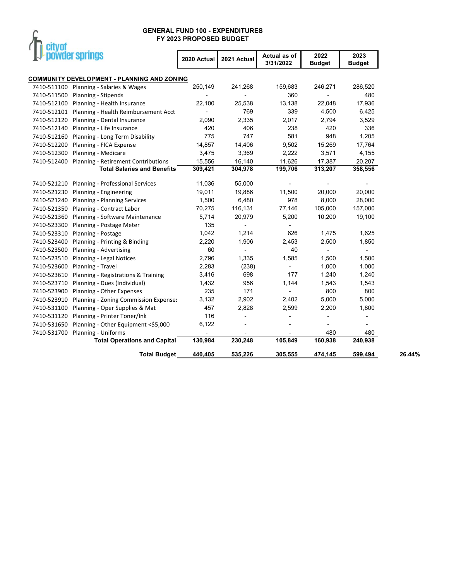

|                            | powder springs                                                                    | 2020 Actual              | 2021 Actual                       | Actual as of<br>3/31/2022 | 2022<br><b>Budget</b>             | 2023<br><b>Budget</b>    |        |
|----------------------------|-----------------------------------------------------------------------------------|--------------------------|-----------------------------------|---------------------------|-----------------------------------|--------------------------|--------|
|                            |                                                                                   |                          |                                   |                           |                                   |                          |        |
| 7410-511100                | <b>COMMUNITY DEVELOPMENT - PLANNING AND ZONING</b><br>Planning - Salaries & Wages | 250,149                  | 241,268                           | 159,683                   | 246,271                           | 286,520                  |        |
| 7410-511500                | Planning - Stipends                                                               | $\overline{\phantom{a}}$ |                                   | 360                       | $\overline{\phantom{a}}$          | 480                      |        |
| 7410-512100                | Planning - Health Insurance                                                       | 22,100                   | 25,538                            | 13,138                    | 22,048                            | 17,936                   |        |
| 7410-512101                | Planning - Health Reimbursement Acct                                              | $\blacksquare$           | 769                               | 339                       | 4,500                             | 6,425                    |        |
| 7410-512120                | Planning - Dental Insurance                                                       | 2,090                    | 2,335                             | 2,017                     | 2,794                             | 3,529                    |        |
| 7410-512140                | Planning - Life Insurance                                                         | 420                      | 406                               | 238                       | 420                               | 336                      |        |
| 7410-512160                | Planning - Long Term Disability                                                   | 775                      | 747                               | 581                       | 948                               | 1,205                    |        |
| 7410-512200                | Planning - FICA Expense                                                           | 14,857                   | 14,406                            | 9,502                     | 15,269                            | 17,764                   |        |
| 7410-512300                | Planning - Medicare                                                               | 3,475                    | 3,369                             | 2,222                     | 3,571                             | 4,155                    |        |
| 7410-512400                | <b>Planning - Retirement Contributions</b>                                        | 15,556                   | 16,140                            | 11,626                    | 17,387                            | 20,207                   |        |
|                            | <b>Total Salaries and Benefits</b>                                                | 309,421                  | 304,978                           | 199,706                   | 313,207                           | 358,556                  |        |
|                            |                                                                                   |                          |                                   |                           |                                   |                          |        |
| 7410-521210                | Planning - Professional Services                                                  | 11,036                   | 55,000                            |                           |                                   |                          |        |
| 7410-521230<br>7410-521240 | Planning - Engineering                                                            | 19,011                   | 19,886<br>6,480                   | 11,500<br>978             | 20,000<br>8,000                   | 20,000                   |        |
| 7410-521350                | Planning - Planning Services<br>Planning - Contract Labor                         | 1,500                    |                                   |                           | 105,000                           | 28,000                   |        |
| 7410-521360                | Planning - Software Maintenance                                                   | 70,275<br>5,714          | 116,131                           | 77,146                    | 10,200                            | 157,000<br>19,100        |        |
| 7410-523300                |                                                                                   | 135                      | 20,979                            | 5,200                     |                                   |                          |        |
| 7410-523310                | Planning - Postage Meter                                                          |                          | 1,214                             | 626                       |                                   |                          |        |
| 7410-523400                | Planning - Postage                                                                | 1,042                    |                                   |                           | 1,475                             | 1,625<br>1,850           |        |
| 7410-523500                | Planning - Printing & Binding<br>Planning - Advertising                           | 2,220<br>60              | 1,906<br>$\overline{\phantom{a}}$ | 2,453<br>40               | 2,500<br>$\overline{\phantom{a}}$ | $\overline{\phantom{a}}$ |        |
| 7410-523510                | Planning - Legal Notices                                                          | 2,796                    | 1,335                             | 1,585                     | 1,500                             | 1,500                    |        |
| 7410-523600                | Planning - Travel                                                                 | 2,283                    | (238)                             |                           | 1,000                             | 1,000                    |        |
| 7410-523610                | Planning - Registrations & Training                                               | 3,416                    | 698                               | 177                       | 1,240                             | 1,240                    |        |
| 7410-523710                | Planning - Dues (Individual)                                                      | 1,432                    | 956                               | 1,144                     | 1,543                             | 1,543                    |        |
| 7410-523900                | Planning - Other Expenses                                                         | 235                      | 171                               |                           | 800                               | 800                      |        |
| 7410-523910                | Planning - Zoning Commission Expenses                                             | 3,132                    | 2,902                             | 2,402                     | 5,000                             | 5,000                    |        |
| 7410-531100                | Planning - Oper Supplies & Mat                                                    | 457                      | 2,828                             | 2,599                     | 2,200                             | 1,800                    |        |
| 7410-531120                | Planning - Printer Toner/Ink                                                      | 116                      |                                   |                           |                                   |                          |        |
| 7410-531650                | Planning - Other Equipment <\$5,000                                               | 6,122                    |                                   |                           |                                   |                          |        |
| 7410-531700                | Planning - Uniforms                                                               |                          |                                   |                           | 480                               | 480                      |        |
|                            | <b>Total Operations and Capital</b>                                               | 130,984                  | 230,248                           | 105,849                   | 160,938                           | 240,938                  |        |
|                            | <b>Total Budget</b>                                                               | 440,405                  | 535,226                           | 305,555                   | 474,145                           | 599,494                  | 26.44% |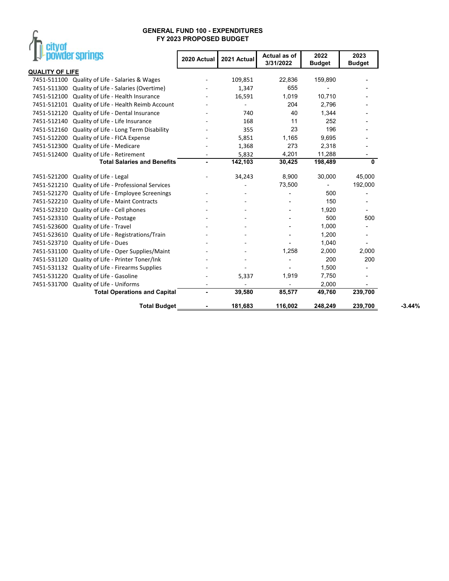# $\int_{\mathbb{T}}$  city of

| ,<br><b>Provider springs</b>                           | 2020 Actual    | 2021 Actual | Actual as of<br>3/31/2022 | 2022<br><b>Budget</b>    | 2023<br><b>Budget</b>    |
|--------------------------------------------------------|----------------|-------------|---------------------------|--------------------------|--------------------------|
| <b>QUALITY OF LIFE</b>                                 |                |             |                           |                          |                          |
| 7451-511100<br>Quality of Life - Salaries & Wages      |                | 109,851     | 22,836                    | 159,890                  |                          |
| Quality of Life - Salaries (Overtime)<br>7451-511300   |                | 1,347       | 655                       |                          |                          |
| 7451-512100<br>Quality of Life - Health Insurance      |                | 16,591      | 1,019                     | 10,710                   |                          |
| 7451-512101<br>Quality of Life - Health Reimb Account  |                |             | 204                       | 2,796                    |                          |
| Quality of Life - Dental Insurance<br>7451-512120      |                | 740         | 40                        | 1,344                    |                          |
| Quality of Life - Life Insurance<br>7451-512140        |                | 168         | 11                        | 252                      |                          |
| Quality of Life - Long Term Disability<br>7451-512160  |                | 355         | 23                        | 196                      |                          |
| Quality of Life - FICA Expense<br>7451-512200          |                | 5,851       | 1,165                     | 9,695                    |                          |
| Quality of Life - Medicare<br>7451-512300              |                | 1,368       | 273                       | 2,318                    |                          |
| Quality of Life - Retirement<br>7451-512400            |                | 5,832       | 4,201                     | 11,288                   |                          |
| <b>Total Salaries and Benefits</b>                     | $\blacksquare$ | 142,103     | 30,425                    | 198,489                  | 0                        |
| 7451-521200<br>Quality of Life - Legal                 |                | 34,243      | 8,900                     | 30,000                   | 45,000                   |
| Quality of Life - Professional Services<br>7451-521210 |                |             | 73,500                    | $\overline{\phantom{0}}$ | 192,000                  |
| Quality of Life - Employee Screenings<br>7451-521270   |                |             |                           | 500                      | $\overline{\phantom{0}}$ |
| 7451-522210<br>Quality of Life - Maint Contracts       |                |             |                           | 150                      |                          |
| Quality of Life - Cell phones<br>7451-523210           |                |             |                           | 1,920                    |                          |
| Quality of Life - Postage<br>7451-523310               |                |             |                           | 500                      | 500                      |
| Quality of Life - Travel<br>7451-523600                |                |             |                           | 1,000                    |                          |
| 7451-523610<br>Quality of Life - Registrations/Train   |                |             |                           | 1,200                    |                          |
| Quality of Life - Dues<br>7451-523710                  |                |             |                           | 1,040                    |                          |
| Quality of Life - Oper Supplies/Maint<br>7451-531100   |                |             | 1,258                     | 2,000                    | 2,000                    |
| Quality of Life - Printer Toner/Ink<br>7451-531120     |                |             | $\overline{\phantom{a}}$  | 200                      | 200                      |
| Quality of Life - Firearms Supplies<br>7451-531132     |                |             |                           | 1,500                    |                          |
| Quality of Life - Gasoline<br>7451-531220              |                | 5,337       | 1,919                     | 7,750                    | $\blacksquare$           |
| Quality of Life - Uniforms<br>7451-531700              |                |             |                           | 2,000                    |                          |
| <b>Total Operations and Capital</b>                    |                | 39,580      | 85,577                    | 49,760                   | 239,700                  |
| <b>Total Budget</b>                                    |                | 181,683     | 116,002                   | 248,249                  | 239,700                  |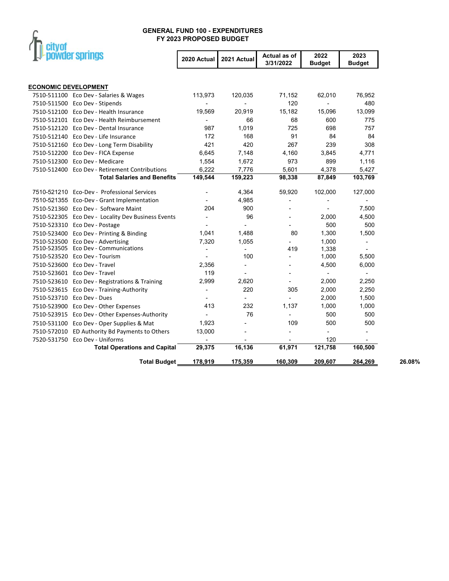

|                             | powder springs                                     | 2020 Actual              | 2021 Actual    | Actual as of<br>3/31/2022 | 2022<br><b>Budget</b>    | 2023<br><b>Budget</b>    |        |
|-----------------------------|----------------------------------------------------|--------------------------|----------------|---------------------------|--------------------------|--------------------------|--------|
|                             |                                                    |                          |                |                           |                          |                          |        |
| <b>ECONOMIC DEVELOPMENT</b> |                                                    |                          |                |                           |                          |                          |        |
|                             | 7510-511100 Eco Dev - Salaries & Wages             | 113,973                  | 120,035        | 71,152                    | 62,010                   | 76,952                   |        |
|                             | 7510-511500 Eco Dev - Stipends                     |                          |                | 120                       |                          | 480                      |        |
|                             | 7510-512100 Eco Dev - Health Insurance             | 19,569                   | 20,919         | 15,182                    | 15,096                   | 13,099                   |        |
|                             | 7510-512101 Eco Dev - Health Reimbursement         | $\overline{\phantom{a}}$ | 66             | 68                        | 600                      | 775                      |        |
|                             | 7510-512120 Eco Dev - Dental Insurance             | 987                      | 1,019          | 725                       | 698                      | 757                      |        |
|                             | 7510-512140 Eco Dev - Life Insurance               | 172                      | 168            | 91                        | 84                       | 84                       |        |
|                             | 7510-512160 Eco Dev - Long Term Disability         | 421                      | 420            | 267                       | 239                      | 308                      |        |
|                             | 7510-512200 Eco Dev - FICA Expense                 | 6,645                    | 7,148          | 4,160                     | 3,845                    | 4,771                    |        |
|                             | 7510-512300 Eco Dev - Medicare                     | 1,554                    | 1,672          | 973                       | 899                      | 1,116                    |        |
|                             | 7510-512400 Eco Dev - Retirement Contributions     | 6,222                    | 7,776          | 5,601                     | 4,378                    | 5,427                    |        |
|                             | <b>Total Salaries and Benefits</b>                 | 149,544                  | 159,223        | 98,338                    | 87,849                   | 103,769                  |        |
|                             | 7510-521210 Eco-Dev - Professional Services        |                          | 4,364          | 59,920                    | 102,000                  | 127,000                  |        |
|                             | 7510-521355 Eco-Dev - Grant Implementation         |                          | 4,985          |                           |                          |                          |        |
|                             | 7510-521360 Eco Dev - Software Maint               | 204                      | 900            |                           |                          | 7,500                    |        |
|                             | 7510-522305 Eco Dev - Locality Dev Business Events | $\blacksquare$           | 96             |                           | 2,000                    | 4,500                    |        |
|                             | 7510-523310 Eco Dev - Postage                      |                          |                |                           | 500                      | 500                      |        |
|                             | 7510-523400 Eco Dev - Printing & Binding           | 1,041                    | 1,488          | 80                        | 1,300                    | 1,500                    |        |
|                             | 7510-523500 Eco Dev - Advertising                  | 7,320                    | 1,055          |                           | 1,000                    |                          |        |
|                             | 7510-523505 Eco Dev - Communications               |                          | $\blacksquare$ | 419                       | 1,338                    |                          |        |
|                             | 7510-523520 Eco Dev - Tourism                      |                          | 100            | $\overline{\phantom{a}}$  | 1,000                    | 5,500                    |        |
|                             | 7510-523600 Eco Dev - Travel                       | 2,356                    | ä,             |                           | 4,500                    | 6,000                    |        |
|                             | 7510-523601 Eco Dev - Travel                       | 119                      | $\blacksquare$ |                           | $\overline{\phantom{a}}$ | $\overline{\phantom{a}}$ |        |
|                             | 7510-523610 Eco Dev - Registrations & Training     | 2,999                    | 2,620          | $\overline{\phantom{a}}$  | 2,000                    | 2,250                    |        |
|                             | 7510-523615 Eco Dev - Training-Authority           | $\overline{\phantom{a}}$ | 220            | 305                       | 2,000                    | 2,250                    |        |
|                             | 7510-523710 Eco Dev - Dues                         | ٠                        | $\blacksquare$ |                           | 2,000                    | 1,500                    |        |
|                             | 7510-523900 Eco Dev - Other Expenses               | 413                      | 232            | 1,137                     | 1,000                    | 1,000                    |        |
|                             | 7510-523915 Eco Dev - Other Expenses-Authority     |                          | 76             | $\overline{\phantom{a}}$  | 500                      | 500                      |        |
|                             | 7510-531100 Eco Dev - Oper Supplies & Mat          | 1,923                    | $\overline{a}$ | 109                       | 500                      | 500                      |        |
|                             | 7510-572010 ED Authority Bd Payments to Others     | 13,000                   |                | $\overline{a}$            | $\overline{\phantom{a}}$ | $\overline{a}$           |        |
|                             | 7520-531750 Eco Dev - Uniforms                     |                          |                |                           | 120                      | $\overline{\phantom{a}}$ |        |
|                             | <b>Total Operations and Capital</b>                | 29,375                   | 16,136         | 61,971                    | 121,758                  | 160,500                  |        |
|                             | <b>Total Budget</b>                                | 178,919                  | 175,359        | 160,309                   | 209,607                  | 264,269                  | 26.08% |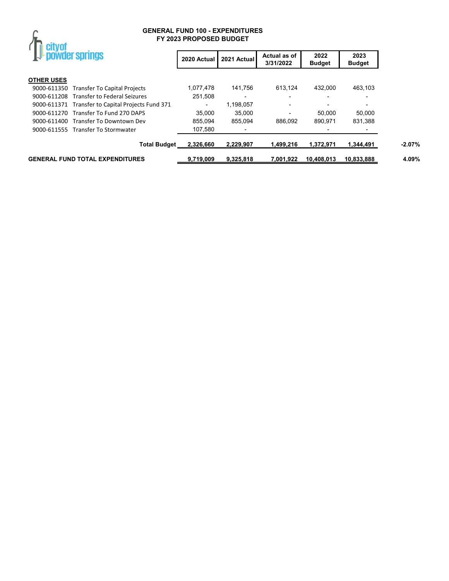

| powder springs    |                                                   | 2020 Actual              | 2021 Actual              | Actual as of<br>3/31/2022 | 2022<br><b>Budget</b> | 2023<br><b>Budget</b> |
|-------------------|---------------------------------------------------|--------------------------|--------------------------|---------------------------|-----------------------|-----------------------|
| <b>OTHER USES</b> |                                                   |                          |                          |                           |                       |                       |
|                   | 9000-611350 Transfer To Capital Projects          | 1,077,478                | 141.756                  | 613.124                   | 432.000               | 463.103               |
|                   | 9000-611208 Transfer to Federal Seizures          | 251.508                  | $\overline{\phantom{0}}$ |                           |                       |                       |
|                   | 9000-611371 Transfer to Capital Projects Fund 371 | $\overline{\phantom{a}}$ | 1,198,057                |                           |                       |                       |
|                   | 9000-611270 Transfer To Fund 270 DAPS             | 35.000                   | 35.000                   |                           | 50.000                | 50.000                |
|                   | 9000-611400 Transfer To Downtown Dev              | 855,094                  | 855.094                  | 886.092                   | 890.971               | 831,388               |
|                   | 9000-611555 Transfer To Stormwater                | 107,580                  | $\overline{\phantom{0}}$ |                           |                       |                       |
|                   | <b>Total Budget</b>                               | 2,326,660                | 2.229.907                | 1,499,216                 | 1.372.971             | 1,344,491             |
|                   | <b>GENERAL FUND TOTAL EXPENDITURES</b>            | 9.719.009                | 9.325.818                | 7.001.922                 | 10.408.013            | 10.833.888            |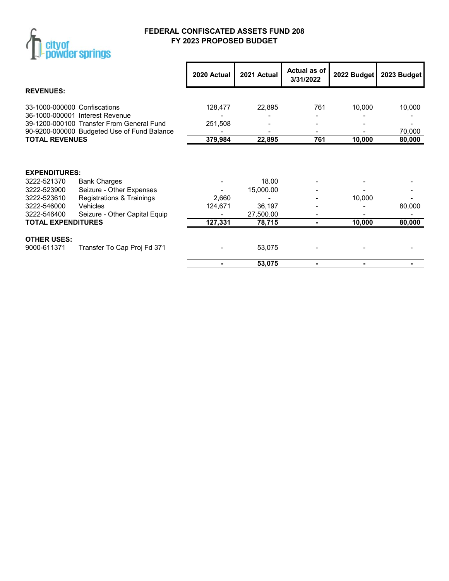

# **FEDERAL CONFISCATED ASSETS FUND 208 FY 2023 PROPOSED BUDGET**

|                                          |                                                                              | 2020 Actual | 2021 Actual         | <b>Actual as of</b><br>3/31/2022 | 2022 Budget | 2023 Budget      |
|------------------------------------------|------------------------------------------------------------------------------|-------------|---------------------|----------------------------------|-------------|------------------|
| <b>REVENUES:</b>                         |                                                                              |             |                     |                                  |             |                  |
| 33-1000-000000 Confiscations             |                                                                              | 128,477     | 22,895              | 761                              | 10,000      | 10,000           |
|                                          | 36-1000-000001 Interest Revenue<br>39-1200-000100 Transfer From General Fund | 251,508     |                     |                                  |             |                  |
| <b>TOTAL REVENUES</b>                    | 90-9200-000000 Budgeted Use of Fund Balance                                  | 379,984     | 22,895              | 761                              | 10,000      | 70,000<br>80,000 |
| <b>EXPENDITURES:</b><br>3222-521370      | <b>Bank Charges</b>                                                          |             | 18.00               |                                  |             |                  |
| 3222-523900<br>3222-523610               | Seizure - Other Expenses<br>Registrations & Trainings                        | 2,660       | 15,000.00           |                                  |             |                  |
| 3222-546000                              | Vehicles                                                                     | 124,671     | 36,197              |                                  | 10,000      | 80,000           |
| 3222-546400<br><b>TOTAL EXPENDITURES</b> | Seizure - Other Capital Equip                                                | 127,331     | 27,500.00<br>78,715 | ۰                                | 10,000      | 80,000           |
| <b>OTHER USES:</b><br>9000-611371        | Transfer To Cap Proj Fd 371                                                  |             | 53,075              |                                  |             |                  |
|                                          |                                                                              |             | 53,075              |                                  |             |                  |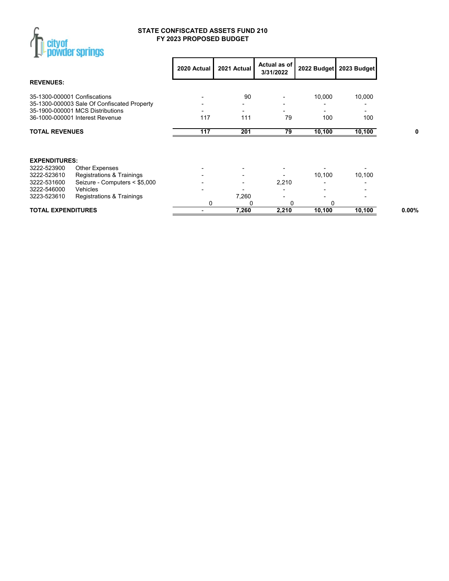

#### **STATE CONFISCATED ASSETS FUND 210 FY 2023 PROPOSED BUDGET**

|                                  |                                             | 2020 Actual | 2021 Actual | Actual as of<br>3/31/2022 | 2022 Budget | 2023 Budget |
|----------------------------------|---------------------------------------------|-------------|-------------|---------------------------|-------------|-------------|
| <b>REVENUES:</b>                 |                                             |             |             |                           |             |             |
| 35-1300-000001 Confiscations     |                                             |             | 90          |                           | 10,000      | 10,000      |
|                                  | 35-1300-000003 Sale Of Confiscated Property |             |             |                           |             |             |
| 35-1900-000001 MCS Distributions |                                             |             |             |                           |             |             |
| 36-1000-000001 Interest Revenue  |                                             | 117         | 111         | 79                        | 100         | 100         |
| <b>TOTAL REVENUES</b>            |                                             | 117         | 201         | 79                        | 10,100      | 10,100      |
|                                  |                                             |             |             |                           |             |             |
| <b>EXPENDITURES:</b>             |                                             |             |             |                           |             |             |
| 3222-523900                      | <b>Other Expenses</b>                       |             |             |                           |             |             |
| 3222-523610                      | Registrations & Trainings                   |             | ۰           |                           | 10,100      | 10,100      |
| 3222-531600                      | Seizure - Computers < \$5,000               |             |             | 2,210                     |             |             |
| Vehicles<br>3222-546000          |                                             |             |             |                           |             |             |
| 3223-523610                      | Registrations & Trainings                   |             | 7,260       |                           |             |             |
|                                  |                                             | 0           | 0           | 0                         | 0           |             |
| <b>TOTAL EXPENDITURES</b>        |                                             |             | 7,260       | 2,210                     | 10,100      | 10,100      |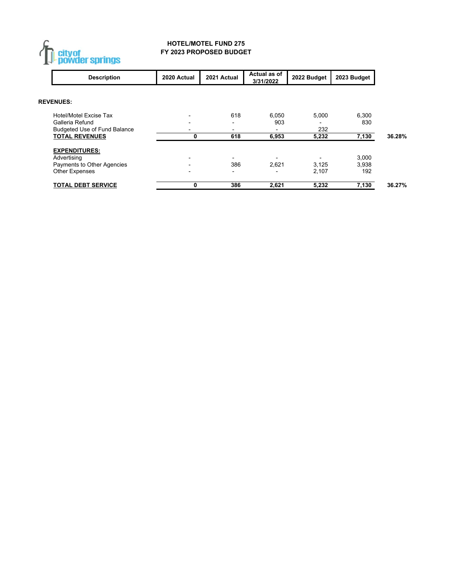

#### **HOTEL/MOTEL FUND 275 FY 2023 PROPOSED BUDGET**

| <b>Description</b>                  | 2020 Actual | 2021 Actual              | Actual as of<br>3/31/2022 | 2022 Budget | 2023 Budget |        |
|-------------------------------------|-------------|--------------------------|---------------------------|-------------|-------------|--------|
| <b>REVENUES:</b>                    |             |                          |                           |             |             |        |
| Hotel/Motel Excise Tax              |             | 618                      | 6.050                     | 5.000       | 6.300       |        |
| Galleria Refund                     |             |                          | 903                       |             | 830         |        |
| <b>Budgeted Use of Fund Balance</b> |             |                          | $\overline{\phantom{0}}$  | 232         |             |        |
| <b>TOTAL REVENUES</b>               | 0           | 618                      | 6,953                     | 5,232       | 7,130       | 36.28% |
| <b>EXPENDITURES:</b>                |             |                          |                           |             |             |        |
| Advertising                         |             |                          | $\blacksquare$            |             | 3.000       |        |
| Payments to Other Agencies          |             | 386                      | 2.621                     | 3,125       | 3,938       |        |
| <b>Other Expenses</b>               |             | $\overline{\phantom{0}}$ | $\blacksquare$            | 2.107       | 192         |        |
| <b>TOTAL DEBT SERVICE</b>           | 0           | 386                      | 2,621                     | 5,232       | 7,130       | 36.27% |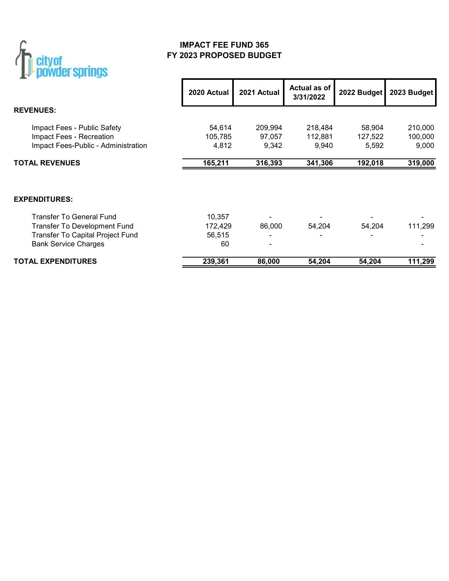

# **IMPACT FEE FUND 365 FY 2023 PROPOSED BUDGET**

|                                     | 2020 Actual | 2021 Actual    | Actual as of<br>3/31/2022 | 2022 Budget | 2023 Budget |
|-------------------------------------|-------------|----------------|---------------------------|-------------|-------------|
| <b>REVENUES:</b>                    |             |                |                           |             |             |
| Impact Fees - Public Safety         | 54,614      | 209,994        | 218,484                   | 58,904      | 210,000     |
| Impact Fees - Recreation            | 105,785     | 97,057         | 112,881                   | 127,522     | 100,000     |
| Impact Fees-Public - Administration | 4,812       | 9,342          | 9,940                     | 5,592       | 9,000       |
| <b>TOTAL REVENUES</b>               | 165,211     | 316,393        | 341,306                   | 192,018     | 319,000     |
| <b>EXPENDITURES:</b>                |             |                |                           |             |             |
| <b>Transfer To General Fund</b>     | 10,357      |                |                           |             |             |
| Transfer To Development Fund        | 172,429     | 86,000         | 54,204                    | 54,204      | 111,299     |
| Transfer To Capital Project Fund    | 56,515      | $\blacksquare$ |                           |             |             |
| <b>Bank Service Charges</b>         | 60          | ۰              |                           |             |             |
| <b>TOTAL EXPENDITURES</b>           | 239,361     | 86,000         | 54,204                    | 54.204      | 111,299     |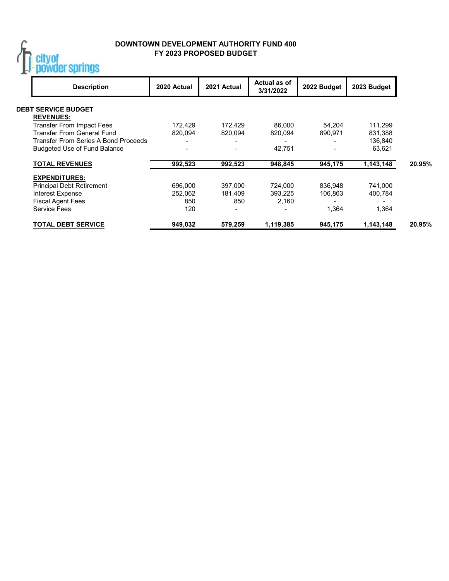

## **DOWNTOWN DEVELOPMENT AUTHORITY FUND 400 FY 2023 PROPOSED BUDGET**

| <b>Description</b>                   | 2020 Actual | 2021 Actual | Actual as of<br>3/31/2022 | 2022 Budget    | 2023 Budget |
|--------------------------------------|-------------|-------------|---------------------------|----------------|-------------|
| <b>DEBT SERVICE BUDGET</b>           |             |             |                           |                |             |
| <b>REVENUES:</b>                     |             |             |                           |                |             |
| <b>Transfer From Impact Fees</b>     | 172,429     | 172,429     | 86,000                    | 54,204         | 111,299     |
| Transfer From General Fund           | 820.094     | 820.094     | 820.094                   | 890,971        | 831,388     |
| Transfer From Series A Bond Proceeds |             |             |                           |                | 136,840     |
| <b>Budgeted Use of Fund Balance</b>  |             |             | 42.751                    | $\blacksquare$ | 63.621      |
| <b>TOTAL REVENUES</b>                | 992,523     | 992,523     | 948,845                   | 945,175        | 1,143,148   |
| <b>EXPENDITURES:</b>                 |             |             |                           |                |             |
| <b>Principal Debt Retirement</b>     | 696.000     | 397.000     | 724.000                   | 836.948        | 741.000     |
| Interest Expense                     | 252.062     | 181.409     | 393.225                   | 106,863        | 400,784     |
| <b>Fiscal Agent Fees</b>             | 850         | 850         | 2.160                     |                |             |
| <b>Service Fees</b>                  | 120         |             |                           | 1,364          | 1,364       |
| TOTAL DEBT SERVICE                   | 949,032     | 579,259     | 1,119,385                 | 945,175        | 1,143,148   |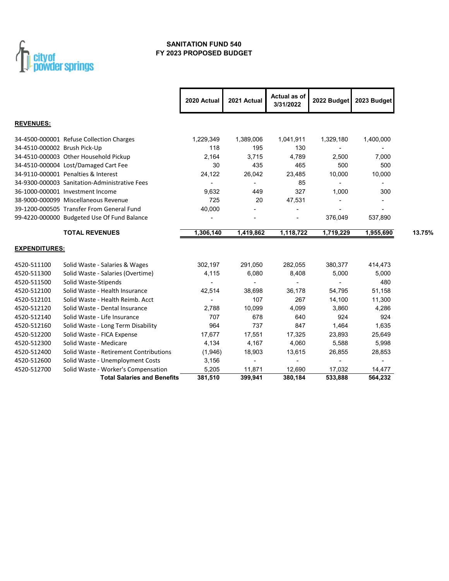

### **SANITATION FUND 540 FY 2023 PROPOSED BUDGET**

|                              |                                               | 2020 Actual    | 2021 Actual    | Actual as of<br>3/31/2022 | 2022 Budget    | 2023 Budget              |
|------------------------------|-----------------------------------------------|----------------|----------------|---------------------------|----------------|--------------------------|
| <b>REVENUES:</b>             |                                               |                |                |                           |                |                          |
|                              | 34-4500-000001 Refuse Collection Charges      | 1,229,349      | 1,389,006      | 1,041,911                 | 1,329,180      | 1,400,000                |
| 34-4510-000002 Brush Pick-Up |                                               | 118            | 195            | 130                       |                |                          |
|                              | 34-4510-000003 Other Household Pickup         | 2,164          | 3,715          | 4,789                     | 2,500          | 7,000                    |
|                              | 34-4510-000004 Lost/Damaged Cart Fee          | 30             | 435            | 465                       | 500            | 500                      |
|                              | 34-9110-000001 Penalties & Interest           | 24,122         | 26,042         | 23,485                    | 10,000         | 10,000                   |
|                              | 34-9300-000003 Sanitation-Administrative Fees | $\blacksquare$ | $\blacksquare$ | 85                        | $\blacksquare$ |                          |
|                              | 36-1000-000001 Investment Income              | 9,632          | 449            | 327                       | 1,000          | 300                      |
|                              | 38-9000-000099 Miscellaneous Revenue          | 725            | 20             | 47,531                    |                |                          |
|                              | 39-1200-000505 Transfer From General Fund     | 40,000         |                |                           |                |                          |
|                              | 99-4220-000000 Budgeted Use Of Fund Balance   |                |                |                           | 376,049        | 537,890                  |
|                              | <b>TOTAL REVENUES</b>                         | 1,306,140      | 1,419,862      | 1,118,722                 | 1,719,229      | 1,955,690                |
| <b>EXPENDITURES:</b>         |                                               |                |                |                           |                |                          |
| 4520-511100                  | Solid Waste - Salaries & Wages                | 302,197        | 291,050        | 282,055                   | 380,377        | 414,473                  |
| 4520-511300                  | Solid Waste - Salaries (Overtime)             | 4,115          | 6,080          | 8,408                     | 5,000          | 5,000                    |
| 4520-511500                  | Solid Waste-Stipends                          | ٠              |                | $\overline{\phantom{a}}$  |                | 480                      |
| 4520-512100                  | Solid Waste - Health Insurance                | 42,514         | 38,698         | 36,178                    | 54,795         | 51,158                   |
| 4520-512101                  | Solid Waste - Health Reimb, Acct              |                | 107            | 267                       | 14,100         | 11,300                   |
| 4520-512120                  | Solid Waste - Dental Insurance                | 2,788          | 10,099         | 4,099                     | 3,860          | 4,286                    |
| 4520-512140                  | Solid Waste - Life Insurance                  | 707            | 678            | 640                       | 924            | 924                      |
| 4520-512160                  | Solid Waste - Long Term Disability            | 964            | 737            | 847                       | 1,464          | 1,635                    |
| 4520-512200                  | Solid Waste - FICA Expense                    | 17,677         | 17,551         | 17,325                    | 23,893         | 25,649                   |
| 4520-512300                  | Solid Waste - Medicare                        | 4,134          | 4,167          | 4,060                     | 5,588          | 5,998                    |
| 4520-512400                  | Solid Waste - Retirement Contributions        | (1,946)        | 18,903         | 13,615                    | 26,855         | 28,853                   |
| 4520-512600                  | Solid Waste - Unemployment Costs              | 3,156          | $\blacksquare$ | $\blacksquare$            |                | $\overline{\phantom{a}}$ |
| 4520-512700                  | Solid Waste - Worker's Compensation           | 5,205          | 11,871         | 12.690                    | 17,032         | 14,477                   |
|                              | <b>Total Salaries and Benefits</b>            | 381,510        | 399,941        | 380,184                   | 533,888        | 564, 232                 |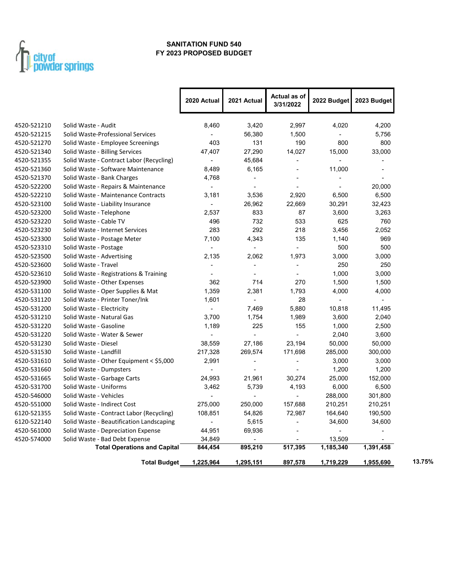

### **SANITATION FUND 540 FY 2023 PROPOSED BUDGET**

|             |                                          | 2020 Actual              | 2021 Actual              | Actual as of<br>3/31/2022 | 2022 Budget              | 2023 Budget              |
|-------------|------------------------------------------|--------------------------|--------------------------|---------------------------|--------------------------|--------------------------|
| 4520-521210 | Solid Waste - Audit                      | 8,460                    | 3,420                    | 2,997                     | 4,020                    | 4,200                    |
| 4520-521215 | Solid Waste-Professional Services        |                          | 56,380                   | 1,500                     |                          | 5,756                    |
| 4520-521270 | Solid Waste - Employee Screenings        | 403                      | 131                      | 190                       | 800                      | 800                      |
| 4520-521340 | Solid Waste - Billing Services           | 47,407                   | 27,290                   | 14,027                    | 15,000                   | 33,000                   |
| 4520-521355 | Solid Waste - Contract Labor (Recycling) | $\overline{\phantom{a}}$ | 45,684                   | ÷,                        | $\blacksquare$           | $\overline{\phantom{a}}$ |
| 4520-521360 | Solid Waste - Software Maintenance       | 8,489                    | 6,165                    | ä,                        | 11,000                   | $\overline{\phantom{a}}$ |
| 4520-521370 | Solid Waste - Bank Charges               | 4,768                    | $\overline{\phantom{a}}$ |                           | $\overline{\phantom{a}}$ |                          |
| 4520-522200 | Solid Waste - Repairs & Maintenance      | $\blacksquare$           |                          | ÷.                        |                          | 20,000                   |
| 4520-522210 | Solid Waste - Maintenance Contracts      | 3,181                    | 3,536                    | 2,920                     | 6,500                    | 6,500                    |
| 4520-523100 | Solid Waste - Liability Insurance        | $\blacksquare$           | 26,962                   | 22,669                    | 30,291                   | 32,423                   |
| 4520-523200 | Solid Waste - Telephone                  | 2,537                    | 833                      | 87                        | 3,600                    | 3,263                    |
| 4520-523220 | Solid Waste - Cable TV                   | 496                      | 732                      | 533                       | 625                      | 760                      |
| 4520-523230 | Solid Waste - Internet Services          | 283                      | 292                      | 218                       | 3,456                    | 2,052                    |
| 4520-523300 | Solid Waste - Postage Meter              | 7,100                    | 4,343                    | 135                       | 1,140                    | 969                      |
| 4520-523310 | Solid Waste - Postage                    | $\mathbf{r}$             | $\overline{a}$           | ä,                        | 500                      | 500                      |
| 4520-523500 | Solid Waste - Advertising                | 2,135                    | 2,062                    | 1,973                     | 3,000                    | 3,000                    |
| 4520-523600 | Solid Waste - Travel                     |                          |                          |                           | 250                      | 250                      |
| 4520-523610 | Solid Waste - Registrations & Training   | $\blacksquare$           |                          |                           | 1,000                    | 3,000                    |
| 4520-523900 | Solid Waste - Other Expenses             | 362                      | 714                      | 270                       | 1,500                    | 1,500                    |
| 4520-531100 | Solid Waste - Oper Supplies & Mat        | 1,359                    | 2,381                    | 1,793                     | 4,000                    | 4,000                    |
| 4520-531120 | Solid Waste - Printer Toner/Ink          | 1,601                    | $\blacksquare$           | 28                        | $\blacksquare$           |                          |
| 4520-531200 | Solid Waste - Electricity                | $\blacksquare$           | 7,469                    | 5,880                     | 10,818                   | 11,495                   |
| 4520-531210 | Solid Waste - Natural Gas                | 3,700                    | 1,754                    | 1,989                     | 3,600                    | 2,040                    |
| 4520-531220 | Solid Waste - Gasoline                   | 1,189                    | 225                      | 155                       | 1,000                    | 2,500                    |
| 4520-531220 | Solid Waste - Water & Sewer              |                          |                          |                           | 2,040                    | 3,600                    |
| 4520-531230 | Solid Waste - Diesel                     | 38,559                   | 27,186                   | 23,194                    | 50,000                   | 50,000                   |
| 4520-531530 | Solid Waste - Landfill                   | 217,328                  | 269,574                  | 171,698                   | 285,000                  | 300,000                  |
| 4520-531610 | Solid Waste - Other Equipment < \$5,000  | 2,991                    | $\overline{\phantom{a}}$ | ÷,                        | 3,000                    | 3,000                    |
| 4520-531660 | Solid Waste - Dumpsters                  | L                        |                          |                           | 1,200                    | 1,200                    |
| 4520-531665 | Solid Waste - Garbage Carts              | 24,993                   | 21,961                   | 30,274                    | 25,000                   | 152,000                  |
| 4520-531700 | Solid Waste - Uniforms                   | 3,462                    | 5,739                    | 4,193                     | 6,000                    | 6,500                    |
| 4520-546000 | Solid Waste - Vehicles                   |                          |                          |                           | 288,000                  | 301,800                  |
| 4520-551000 | Solid Waste - Indirect Cost              | 275,000                  | 250,000                  | 157,688                   | 210,251                  | 210,251                  |
| 6120-521355 | Solid Waste - Contract Labor (Recycling) | 108,851                  | 54,826                   | 72,987                    | 164,640                  | 190,500                  |
| 6120-522140 | Solid Waste - Beautification Landscaping | $\overline{a}$           | 5,615                    | ÷.                        | 34,600                   | 34,600                   |
| 4520-561000 | Solid Waste - Depreciation Expense       | 44,951                   | 69,936                   | L,                        | ÷,                       |                          |
| 4520-574000 | Solid Waste - Bad Debt Expense           | 34,849                   |                          |                           | 13,509                   |                          |
|             | <b>Total Operations and Capital</b>      | 844,454                  | 895,210                  | 517,395                   | 1,185,340                | 1,391,458                |
|             | <b>Total Budget</b>                      | 1,225,964                | 1,295,151                | 897,578                   | 1,719,229                | 1,955,690                |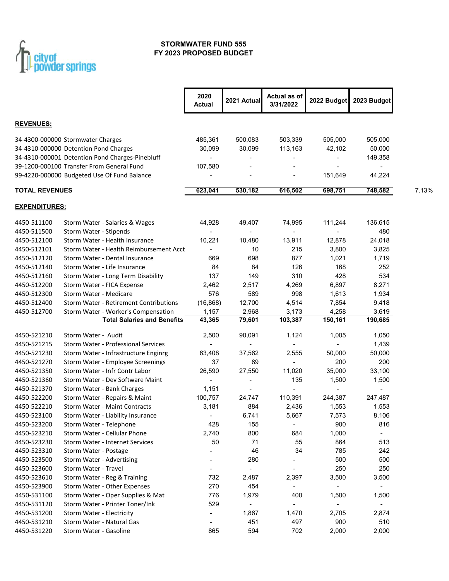

### **STORMWATER FUND 555 FY 2023 PROPOSED BUDGET**

|                                           |                                                                                                                                                                            | 2020<br><b>Actual</b>        | 2021 Actual                              | Actual as of<br>3/31/2022                               | 2022 Budget             | 2023 Budget                    |       |
|-------------------------------------------|----------------------------------------------------------------------------------------------------------------------------------------------------------------------------|------------------------------|------------------------------------------|---------------------------------------------------------|-------------------------|--------------------------------|-------|
| <b>REVENUES:</b>                          |                                                                                                                                                                            |                              |                                          |                                                         |                         |                                |       |
|                                           | 34-4300-000000 Stormwater Charges<br>34-4310-000000 Detention Pond Charges<br>34-4310-000001 Detention Pond Charges-Pinebluff<br>39-1200-000100 Transfer From General Fund | 485,361<br>30,099<br>107,580 | 500,083<br>30,099                        | 503,339<br>113,163                                      | 505,000<br>42,102       | 505,000<br>50,000<br>149,358   |       |
|                                           | 99-4220-000000 Budgeted Use Of Fund Balance                                                                                                                                |                              |                                          |                                                         | 151,649                 | 44,224                         |       |
| <b>TOTAL REVENUES</b>                     |                                                                                                                                                                            | 623,041                      | 530,182                                  | 616,502                                                 | 698,751                 | 748,582                        | 7.13% |
| <b>EXPENDITURES:</b>                      |                                                                                                                                                                            |                              |                                          |                                                         |                         |                                |       |
| 4450-511100<br>4450-511500                | Storm Water - Salaries & Wages<br>Storm Water - Stipends                                                                                                                   | 44,928                       | 49,407<br>$\blacksquare$                 | 74,995<br>$\overline{\phantom{a}}$                      | 111,244                 | 136,615<br>480                 |       |
| 4450-512100<br>4450-512101                | Storm Water - Health Insurance<br>Storm Water - Health Reimbursement Acct                                                                                                  | 10,221                       | 10,480<br>10                             | 13,911<br>215                                           | 12,878<br>3,800         | 24,018<br>3,825                |       |
| 4450-512120<br>4450-512140                | Storm Water - Dental Insurance<br>Storm Water - Life Insurance                                                                                                             | 669<br>84                    | 698<br>84                                | 877<br>126                                              | 1,021<br>168            | 1,719<br>252                   |       |
| 4450-512160<br>4450-512200                | Storm Water - Long Term Disability<br>Storm Water - FICA Expense                                                                                                           | 137<br>2,462                 | 149<br>2,517                             | 310<br>4,269                                            | 428<br>6,897            | 534<br>8,271                   |       |
| 4450-512300<br>4450-512400<br>4450-512700 | Storm Water - Medicare<br><b>Storm Water - Retirement Contributions</b><br>Storm Water - Worker's Compensation                                                             | 576<br>(16, 868)<br>1,157    | 589<br>12,700<br>2,968                   | 998<br>4,514<br>3,173                                   | 1,613<br>7,854<br>4,258 | 1,934<br>9,418<br>3,619        |       |
|                                           | <b>Total Salaries and Benefits</b>                                                                                                                                         | 43,365                       | 79,601                                   | 103,387                                                 | 150,161                 | 190,685                        |       |
| 4450-521210                               | Storm Water - Audit                                                                                                                                                        | 2,500                        | 90,091                                   | 1,124                                                   | 1,005                   | 1,050                          |       |
| 4450-521215<br>4450-521230                | <b>Storm Water - Professional Services</b><br>Storm Water - Infrastructure Enginrg                                                                                         | 63,408                       | 37,562                                   | 2,555                                                   | 50,000                  | 1,439<br>50,000                |       |
| 4450-521270                               | Storm Water - Employee Screenings                                                                                                                                          | 37                           | 89                                       | $\blacksquare$                                          | 200                     | 200                            |       |
| 4450-521350<br>4450-521360<br>4450-521370 | Storm Water - Infr Contr Labor<br>Storm Water - Dev Software Maint<br>Storm Water - Bank Charges                                                                           | 26,590<br>1,151              | 27,550<br>$\blacksquare$                 | 11,020<br>135                                           | 35,000<br>1,500         | 33,100<br>1,500                |       |
| 4450-522200<br>4450-522210                | Storm Water - Repairs & Maint<br><b>Storm Water - Maint Contracts</b>                                                                                                      | 100,757<br>3,181             | 24,747<br>884                            | 110,391<br>2,436                                        | 244,387<br>1,553        | 247,487<br>1,553               |       |
| 4450-523100<br>4450-523200                | Storm Water - Liability Insurance<br>Storm Water - Telephone                                                                                                               | 428                          | 6,741<br>155                             | 5,667                                                   | 7,573<br>900            | 8,106<br>816                   |       |
| 4450-523210<br>4450-523230                | Storm Water - Cellular Phone<br>Storm Water - Internet Services                                                                                                            | 2,740<br>50                  | 800<br>71                                | 684<br>55                                               | 1,000<br>864            | $\blacksquare$<br>513          |       |
| 4450-523310<br>4450-523500                | Storm Water - Postage<br>Storm Water - Advertising                                                                                                                         |                              | 46<br>280                                | 34                                                      | 785<br>500              | 242<br>500                     |       |
| 4450-523600<br>4450-523610<br>4450-523900 | Storm Water - Travel<br>Storm Water - Reg & Training<br>Storm Water - Other Expenses                                                                                       | 732<br>270                   | $\overline{\phantom{a}}$<br>2,487<br>454 | $\qquad \qquad \blacksquare$<br>2,397<br>$\blacksquare$ | 250<br>3,500            | 250<br>3,500<br>$\blacksquare$ |       |
| 4450-531100<br>4450-531120                | Storm Water - Oper Supplies & Mat<br>Storm Water - Printer Toner/Ink                                                                                                       | 776<br>529                   | 1,979<br>$\overline{\phantom{a}}$        | 400                                                     | 1,500                   | 1,500<br>$\blacksquare$        |       |
| 4450-531200<br>4450-531210                | Storm Water - Electricity<br>Storm Water - Natural Gas                                                                                                                     | $\overline{\phantom{a}}$     | 1,867<br>451                             | 1,470<br>497                                            | 2,705<br>900            | 2,874<br>510                   |       |
| 4450-531220                               | Storm Water - Gasoline                                                                                                                                                     | 865                          | 594                                      | 702                                                     | 2,000                   | 2,000                          |       |